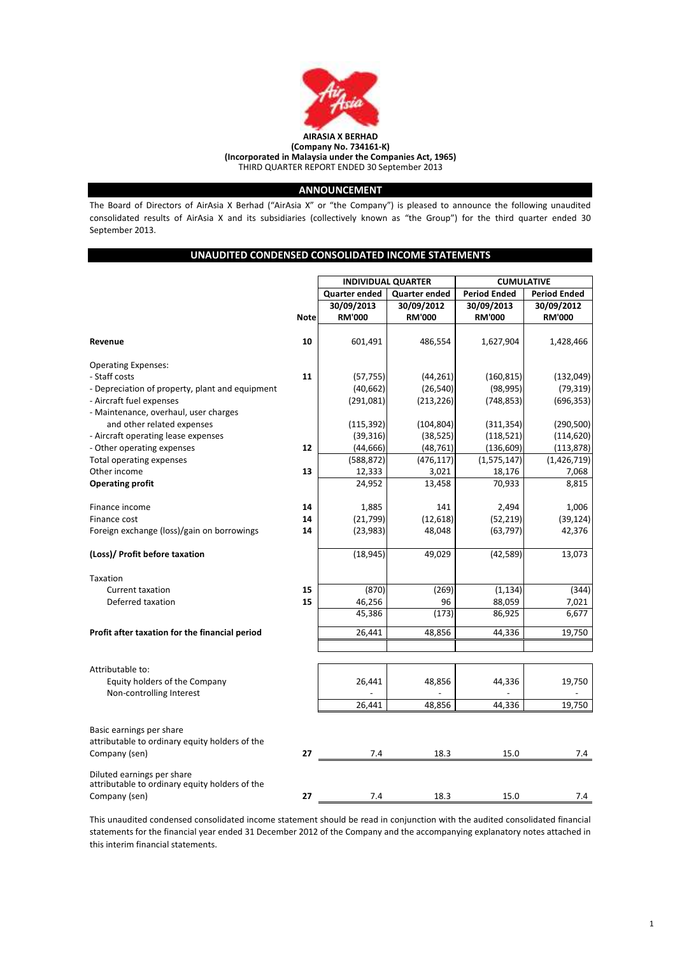

# ANNOUNCEMENT

The Board of Directors of AirAsia X Berhad ("AirAsia X" or "the Company") is pleased to announce the following unaudited consolidated results of AirAsia X and its subsidiaries (collectively known as "the Group") for the third quarter ended 30 September 2013.

# UNAUDITED CONDENSED CONSOLIDATED INCOME STATEMENTS

|                                                   |             | <b>INDIVIDUAL QUARTER</b> |                      | <b>CUMULATIVE</b>   |                     |
|---------------------------------------------------|-------------|---------------------------|----------------------|---------------------|---------------------|
|                                                   |             | <b>Quarter ended</b>      | <b>Quarter ended</b> | <b>Period Ended</b> | <b>Period Ended</b> |
|                                                   |             | 30/09/2013                | 30/09/2012           | 30/09/2013          | 30/09/2012          |
|                                                   | <b>Note</b> | <b>RM'000</b>             | <b>RM'000</b>        | <b>RM'000</b>       | <b>RM'000</b>       |
|                                                   |             |                           |                      |                     |                     |
| Revenue                                           | 10          | 601,491                   | 486,554              | 1,627,904           | 1,428,466           |
|                                                   |             |                           |                      |                     |                     |
| <b>Operating Expenses:</b>                        |             |                           |                      |                     |                     |
| - Staff costs                                     | 11          | (57, 755)                 | (44, 261)            | (160, 815)          | (132,049)           |
| - Depreciation of property, plant and equipment   |             | (40, 662)                 | (26, 540)            | (98, 995)           | (79, 319)           |
| - Aircraft fuel expenses                          |             | (291,081)                 | (213, 226)           | (748, 853)          | (696, 353)          |
| - Maintenance, overhaul, user charges             |             |                           |                      |                     |                     |
| and other related expenses                        |             | (115, 392)                | (104, 804)           | (311, 354)          | (290, 500)          |
| - Aircraft operating lease expenses               |             | (39, 316)                 | (38, 525)            | (118, 521)          | (114, 620)          |
| - Other operating expenses                        | 12          | (44, 666)                 | (48, 761)            | (136, 609)          | (113, 878)          |
| Total operating expenses                          | 13          | (588, 872)                | (476, 117)           | (1, 575, 147)       | (1,426,719)         |
| Other income                                      |             | 12,333                    | 3,021                | 18,176              | 7,068               |
| <b>Operating profit</b>                           |             | 24,952                    | 13,458               | 70,933              | 8,815               |
| Finance income                                    | 14          | 1,885                     | 141                  | 2,494               | 1,006               |
| Finance cost                                      | 14          | (21, 799)                 | (12, 618)            | (52, 219)           | (39, 124)           |
| Foreign exchange (loss)/gain on borrowings        | 14          | (23, 983)                 | 48,048               | (63, 797)           | 42,376              |
| (Loss)/ Profit before taxation                    |             | (18, 945)                 | 49,029               | (42, 589)           | 13,073              |
| Taxation                                          |             |                           |                      |                     |                     |
| <b>Current taxation</b>                           | 15          | (870)                     | (269)                | (1, 134)            | (344)               |
| Deferred taxation                                 | 15          | 46,256                    | 96                   | 88,059              | 7,021               |
|                                                   |             | 45,386                    | (173)                | 86,925              | 6,677               |
| Profit after taxation for the financial period    |             | 26,441                    | 48,856               | 44,336              | 19,750              |
|                                                   |             |                           |                      |                     |                     |
|                                                   |             |                           |                      |                     |                     |
| Attributable to:<br>Equity holders of the Company |             | 26,441                    | 48,856               | 44,336              | 19,750              |
|                                                   |             |                           |                      |                     |                     |
| Non-controlling Interest                          |             | 26,441                    | 48,856               | 44,336              | 19,750              |
|                                                   |             |                           |                      |                     |                     |
| Basic earnings per share                          |             |                           |                      |                     |                     |
| attributable to ordinary equity holders of the    |             |                           |                      |                     |                     |
| Company (sen)                                     | 27          | 7.4                       | 18.3                 | 15.0                | 7.4                 |
| Diluted earnings per share                        |             |                           |                      |                     |                     |
| attributable to ordinary equity holders of the    |             |                           |                      |                     |                     |
| Company (sen)                                     | 27          | 7.4                       | 18.3                 | 15.0                | 7.4                 |

This unaudited condensed consolidated income statement should be read in conjunction with the audited consolidated financial statements for the financial year ended 31 December 2012 of the Company and the accompanying explanatory notes attached in this interim financial statements.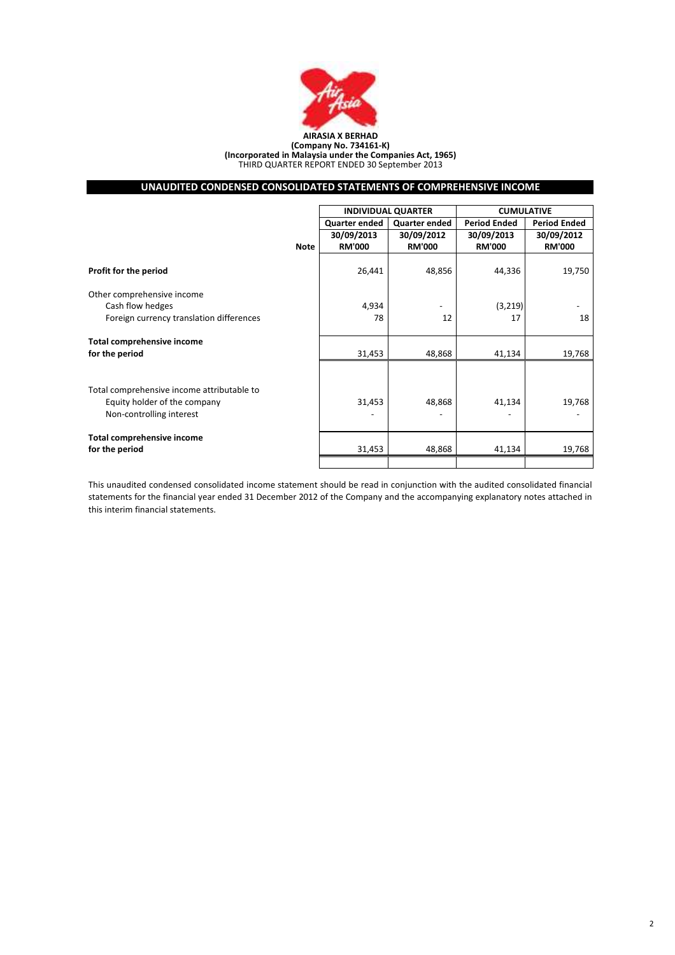

# (Company No. 734161-K) (Incorporated in Malaysia under the Companies Act, 1965) THIRD QUARTER REPORT ENDED 30 September 2013

# UNAUDITED CONDENSED CONSOLIDATED STATEMENTS OF COMPREHENSIVE INCOME

|                                            |             | <b>INDIVIDUAL QUARTER</b> |               | <b>CUMULATIVE</b>   |                     |  |
|--------------------------------------------|-------------|---------------------------|---------------|---------------------|---------------------|--|
|                                            |             | Quarter ended             | Quarter ended | <b>Period Ended</b> | <b>Period Ended</b> |  |
|                                            |             | 30/09/2013                | 30/09/2012    | 30/09/2013          | 30/09/2012          |  |
|                                            | <b>Note</b> | <b>RM'000</b>             | <b>RM'000</b> | <b>RM'000</b>       | <b>RM'000</b>       |  |
| Profit for the period                      |             | 26,441                    | 48,856        | 44,336              | 19,750              |  |
| Other comprehensive income                 |             |                           |               |                     |                     |  |
| Cash flow hedges                           |             | 4,934                     |               | (3, 219)            |                     |  |
| Foreign currency translation differences   |             | 78                        | 12            | 17                  | 18                  |  |
| <b>Total comprehensive income</b>          |             |                           |               |                     |                     |  |
| for the period                             |             | 31,453                    | 48,868        | 41,134              | 19,768              |  |
|                                            |             |                           |               |                     |                     |  |
| Total comprehensive income attributable to |             |                           |               |                     |                     |  |
| Equity holder of the company               |             | 31,453                    | 48,868        | 41,134              | 19,768              |  |
| Non-controlling interest                   |             |                           |               |                     |                     |  |
| <b>Total comprehensive income</b>          |             |                           |               |                     |                     |  |
| for the period                             |             | 31,453                    | 48,868        | 41,134              | 19,768              |  |
|                                            |             |                           |               |                     |                     |  |

This unaudited condensed consolidated income statement should be read in conjunction with the audited consolidated financial statements for the financial year ended 31 December 2012 of the Company and the accompanying explanatory notes attached in this interim financial statements.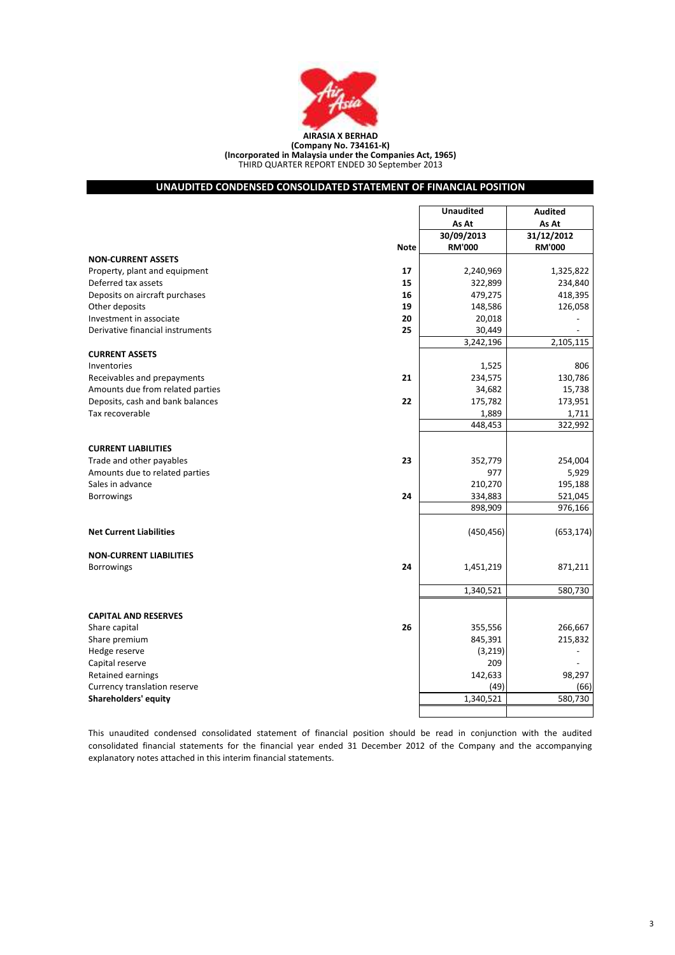

### THIRD QUARTER REPORT ENDED 30 September 2013 (Company No. 734161-K) (Incorporated in Malaysia under the Companies Act, 1965)

# UNAUDITED CONDENSED CONSOLIDATED STATEMENT OF FINANCIAL POSITION

|                                        | <b>Unaudited</b> | <b>Audited</b> |
|----------------------------------------|------------------|----------------|
|                                        | As At            | As At          |
|                                        | 30/09/2013       | 31/12/2012     |
| <b>Note</b>                            | <b>RM'000</b>    | <b>RM'000</b>  |
| <b>NON-CURRENT ASSETS</b>              |                  |                |
| 17<br>Property, plant and equipment    | 2,240,969        | 1,325,822      |
| Deferred tax assets<br>15              | 322,899          | 234,840        |
| Deposits on aircraft purchases<br>16   | 479,275          | 418,395        |
| Other deposits<br>19                   | 148,586          | 126,058        |
| Investment in associate<br>20          | 20,018           |                |
| Derivative financial instruments<br>25 | 30,449           |                |
|                                        | 3,242,196        | 2,105,115      |
| <b>CURRENT ASSETS</b>                  |                  |                |
| Inventories                            | 1,525            | 806            |
| 21<br>Receivables and prepayments      | 234,575          | 130,786        |
| Amounts due from related parties       | 34,682           | 15,738         |
| Deposits, cash and bank balances<br>22 | 175,782          | 173,951        |
| Tax recoverable                        | 1,889            | 1,711          |
|                                        | 448,453          | 322,992        |
|                                        |                  |                |
| <b>CURRENT LIABILITIES</b>             |                  |                |
| 23<br>Trade and other payables         | 352,779          | 254,004        |
| Amounts due to related parties         | 977              | 5,929          |
| Sales in advance                       | 210,270          | 195,188        |
| 24<br><b>Borrowings</b>                | 334,883          | 521,045        |
|                                        | 898,909          | 976,166        |
|                                        |                  |                |
| <b>Net Current Liabilities</b>         | (450, 456)       | (653, 174)     |
|                                        |                  |                |
| <b>NON-CURRENT LIABILITIES</b>         |                  |                |
| Borrowings<br>24                       | 1,451,219        | 871,211        |
|                                        |                  |                |
|                                        | 1,340,521        | 580,730        |
|                                        |                  |                |
| <b>CAPITAL AND RESERVES</b>            |                  |                |
| 26<br>Share capital                    | 355,556          | 266,667        |
| Share premium                          | 845,391          | 215,832        |
| Hedge reserve                          | (3,219)          |                |
| Capital reserve                        | 209              |                |
| Retained earnings                      | 142,633          | 98,297         |
| Currency translation reserve           | (49)             | (66)           |
| <b>Shareholders' equity</b>            | 1,340,521        | 580,730        |
|                                        |                  |                |

This unaudited condensed consolidated statement of financial position should be read in conjunction with the audited consolidated financial statements for the financial year ended 31 December 2012 of the Company and the accompanying explanatory notes attached in this interim financial statements.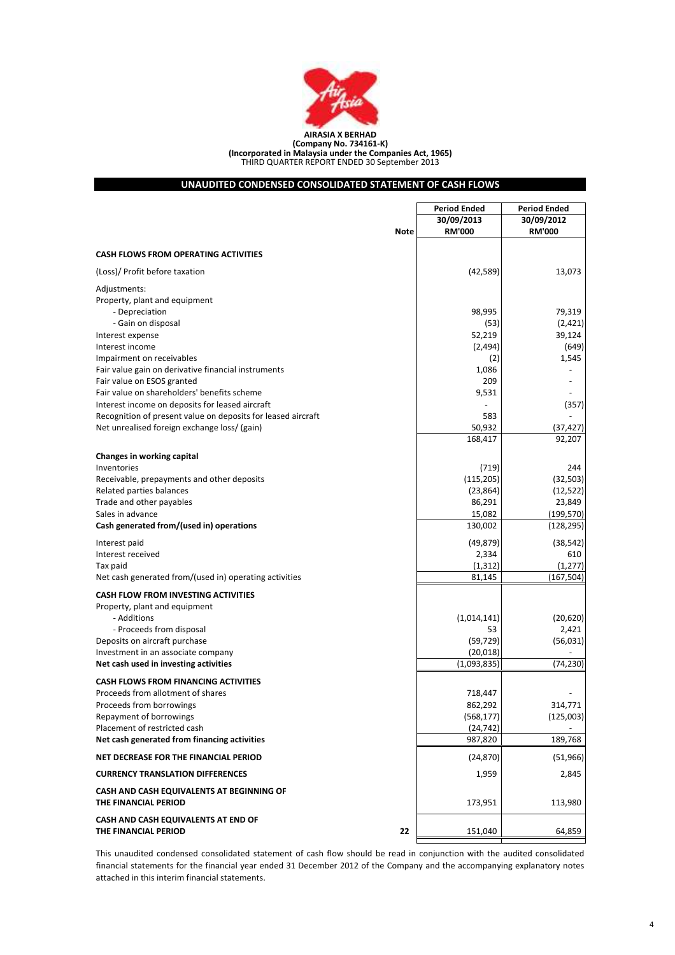

(Company No. 734161-K) (Incorporated in Malaysia under the Companies Act, 1965) THIRD QUARTER REPORT ENDED 30 September 2013

# UNAUDITED CONDENSED CONSOLIDATED STATEMENT OF CASH FLOWS

|                                                                   |             | <b>Period Ended</b><br><b>Period Ended</b> |               |  |
|-------------------------------------------------------------------|-------------|--------------------------------------------|---------------|--|
|                                                                   |             | 30/09/2013                                 | 30/09/2012    |  |
|                                                                   | <b>Note</b> | <b>RM'000</b>                              | <b>RM'000</b> |  |
|                                                                   |             |                                            |               |  |
| <b>CASH FLOWS FROM OPERATING ACTIVITIES</b>                       |             |                                            |               |  |
| (Loss)/ Profit before taxation                                    |             | (42, 589)                                  | 13,073        |  |
| Adjustments:                                                      |             |                                            |               |  |
| Property, plant and equipment                                     |             |                                            |               |  |
| - Depreciation                                                    |             | 98,995                                     | 79,319        |  |
| - Gain on disposal                                                |             | (53)                                       | (2,421)       |  |
| Interest expense                                                  |             | 52,219                                     | 39,124        |  |
| Interest income                                                   |             | (2,494)                                    | (649)         |  |
| Impairment on receivables                                         |             | (2)                                        | 1,545         |  |
| Fair value gain on derivative financial instruments               |             | 1,086                                      |               |  |
| Fair value on ESOS granted                                        |             | 209                                        |               |  |
| Fair value on shareholders' benefits scheme                       |             | 9,531                                      |               |  |
| Interest income on deposits for leased aircraft                   |             |                                            | (357)         |  |
| Recognition of present value on deposits for leased aircraft      |             | 583                                        |               |  |
| Net unrealised foreign exchange loss/ (gain)                      |             | 50,932                                     | (37,427       |  |
|                                                                   |             | 168,417                                    | 92,207        |  |
| Changes in working capital                                        |             |                                            |               |  |
| Inventories                                                       |             | (719)                                      | 244           |  |
| Receivable, prepayments and other deposits                        |             | (115, 205)                                 | (32, 503)     |  |
| Related parties balances                                          |             | (23, 864)                                  | (12, 522)     |  |
| Trade and other payables                                          |             | 86,291                                     | 23,849        |  |
| Sales in advance                                                  |             | 15,082                                     | (199, 570)    |  |
| Cash generated from/(used in) operations                          |             | 130,002                                    | (128, 295)    |  |
| Interest paid                                                     |             | (49, 879)                                  | (38, 542)     |  |
| Interest received                                                 |             | 2,334                                      | 610           |  |
| Tax paid                                                          |             | (1, 312)                                   | (1, 277)      |  |
| Net cash generated from/(used in) operating activities            |             | 81,145                                     | (167, 504)    |  |
|                                                                   |             |                                            |               |  |
| <b>CASH FLOW FROM INVESTING ACTIVITIES</b>                        |             |                                            |               |  |
| Property, plant and equipment                                     |             |                                            |               |  |
| - Additions                                                       |             | (1,014,141)                                | (20, 620)     |  |
| - Proceeds from disposal                                          |             | 53                                         | 2,421         |  |
| Deposits on aircraft purchase                                     |             | (59, 729)                                  | (56, 031)     |  |
| Investment in an associate company                                |             | (20, 018)                                  |               |  |
| Net cash used in investing activities                             |             | (1,093,835)                                | (74,230)      |  |
| <b>CASH FLOWS FROM FINANCING ACTIVITIES</b>                       |             |                                            |               |  |
| Proceeds from allotment of shares                                 |             | 718,447                                    |               |  |
| Proceeds from borrowings                                          |             | 862,292                                    | 314,771       |  |
| Repayment of borrowings                                           |             | (568, 177)                                 | (125,003)     |  |
| Placement of restricted cash                                      |             | (24, 742)                                  |               |  |
| Net cash generated from financing activities                      |             | 987,820                                    | 189,768       |  |
| NET DECREASE FOR THE FINANCIAL PERIOD                             |             | (24, 870)                                  | (51, 966)     |  |
| <b>CURRENCY TRANSLATION DIFFERENCES</b>                           |             | 1,959                                      | 2,845         |  |
| CASH AND CASH EQUIVALENTS AT BEGINNING OF<br>THE FINANCIAL PERIOD |             | 173,951                                    | 113,980       |  |
| CASH AND CASH EQUIVALENTS AT END OF                               |             |                                            |               |  |
| THE FINANCIAL PERIOD                                              | 22          | 151,040                                    | 64,859        |  |
|                                                                   |             |                                            |               |  |

This unaudited condensed consolidated statement of cash flow should be read in conjunction with the audited consolidated financial statements for the financial year ended 31 December 2012 of the Company and the accompanying explanatory notes attached in this interim financial statements.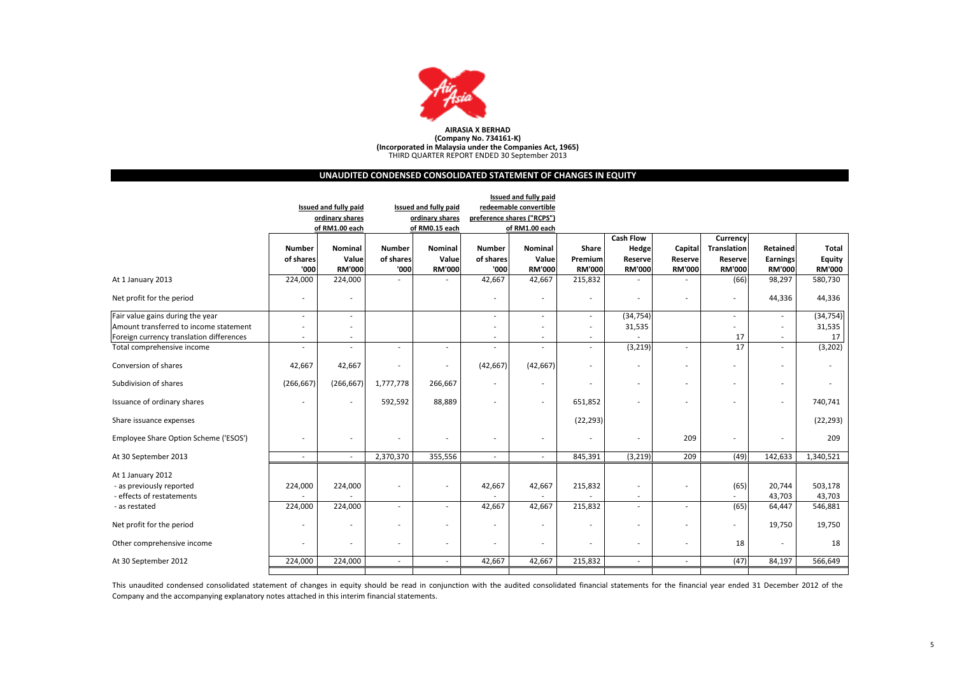

# UNAUDITED CONDENSED CONSOLIDATED STATEMENT OF CHANGES IN EQUITY

|                                          |                          |                              |                          |                              |                            | <b>Issued and fully paid</b> |                          |                          |                          |               |                          |               |
|------------------------------------------|--------------------------|------------------------------|--------------------------|------------------------------|----------------------------|------------------------------|--------------------------|--------------------------|--------------------------|---------------|--------------------------|---------------|
|                                          |                          | <b>Issued and fully paid</b> |                          | <b>Issued and fully paid</b> |                            | redeemable convertible       |                          |                          |                          |               |                          |               |
|                                          |                          | ordinary shares              |                          | ordinary shares              | preference shares ("RCPS") |                              |                          |                          |                          |               |                          |               |
|                                          |                          | of RM1.00 each               |                          | of RM0.15 each               |                            | of RM1.00 each               |                          |                          |                          |               |                          |               |
|                                          |                          |                              |                          |                              |                            |                              |                          | <b>Cash Flow</b>         |                          | Currency      |                          |               |
|                                          | <b>Number</b>            | Nominal                      | <b>Number</b>            | Nominal                      | Number                     | Nominal                      | Share                    | Hedge                    | Capital                  | Translation   | Retained                 | <b>Total</b>  |
|                                          | of shares                | Value                        | of shares                | Value                        | of shares                  | Value                        | Premium                  | Reserve                  | Reservel                 | Reserve       | Earnings                 | Equity        |
|                                          | '000                     | <b>RM'000</b>                | '000                     | <b>RM'000</b>                | '000                       | <b>RM'000</b>                | <b>RM'000</b>            | <b>RM'000</b>            | <b>RM'000</b>            | <b>RM'000</b> | <b>RM'000</b>            | <b>RM'000</b> |
| At 1 January 2013                        | 224,000                  | 224,000                      |                          |                              | 42,667                     | 42,667                       | 215,832                  |                          |                          | (66)          | 98,297                   | 580,730       |
| Net profit for the period                | L,                       | $\overline{\phantom{a}}$     |                          |                              |                            | ٠                            | $\overline{\phantom{a}}$ | $\overline{\phantom{a}}$ | ٠                        |               | 44,336                   | 44,336        |
| Fair value gains during the year         | J.                       | $\overline{\phantom{a}}$     |                          |                              |                            |                              | $\sim$                   | (34, 754)                |                          |               | ٠                        | (34, 754)     |
| Amount transferred to income statement   |                          |                              |                          |                              |                            |                              | $\overline{\phantom{a}}$ | 31,535                   |                          |               | ۰                        | 31,535        |
| Foreign currency translation differences | ٠                        |                              |                          |                              |                            | ٠                            | $\overline{\phantom{a}}$ |                          |                          | 17            | ٠                        | 17            |
| Total comprehensive income               |                          |                              | $\sim$                   | $\sim$                       |                            |                              |                          | (3, 219)                 | $\sim$                   | 17            | $\overline{\phantom{a}}$ | (3, 202)      |
| Conversion of shares                     | 42,667                   | 42,667                       |                          |                              | (42, 667)                  | (42, 667)                    | $\overline{\phantom{a}}$ | $\overline{\phantom{a}}$ |                          |               | ٠                        |               |
| Subdivision of shares                    | (266, 667)               | (266, 667)                   | 1,777,778                | 266,667                      |                            | $\overline{a}$               | $\overline{\phantom{a}}$ | $\overline{\phantom{a}}$ | ٠                        |               | $\overline{\phantom{a}}$ |               |
| Issuance of ordinary shares              |                          | $\overline{\phantom{a}}$     | 592,592                  | 88,889                       |                            | Ĭ.                           | 651,852                  |                          |                          |               | ٠                        | 740,741       |
| Share issuance expenses                  |                          |                              |                          |                              |                            |                              | (22, 293)                |                          |                          |               |                          | (22, 293)     |
| Employee Share Option Scheme ('ESOS')    | ٠                        | $\overline{\phantom{a}}$     | ٠                        |                              |                            | ٠                            | $\overline{\phantom{a}}$ | ٠                        | 209                      |               | ٠                        | 209           |
| At 30 September 2013                     | $\overline{\phantom{a}}$ | $\overline{\phantom{a}}$     | 2,370,370                | 355,556                      | $\sim$                     | $\overline{\phantom{a}}$     | 845,391                  | (3, 219)                 | 209                      | (49)          | 142,633                  | 1,340,521     |
| At 1 January 2012                        |                          |                              |                          |                              |                            |                              |                          |                          |                          |               |                          |               |
| - as previously reported                 | 224,000                  | 224,000                      |                          |                              | 42,667                     | 42,667                       | 215,832                  | $\overline{a}$           | $\overline{\phantom{a}}$ | (65)          | 20,744                   | 503,178       |
| - effects of restatements                |                          |                              |                          |                              |                            |                              |                          |                          |                          |               | 43,703                   | 43,703        |
| - as restated                            | 224,000                  | 224,000                      | $\overline{\phantom{a}}$ |                              | 42,667                     | 42,667                       | 215,832                  | ÷,                       | $\overline{\phantom{a}}$ | (65)          | 64,447                   | 546,881       |
| Net profit for the period                | ٠                        | $\overline{\phantom{a}}$     |                          |                              |                            |                              | $\overline{\phantom{a}}$ | ٠                        | ٠                        |               | 19,750                   | 19,750        |
| Other comprehensive income               | ٠                        |                              | ٠                        | $\sim$                       |                            | ٠                            | $\overline{\phantom{a}}$ | ٠                        | ٠                        | 18            | ٠                        | 18            |
| At 30 September 2012                     | 224,000                  | 224,000                      | ÷.                       | $\sim$                       | 42,667                     | 42,667                       | 215,832                  | $\sim$                   | $\sim$                   | (47)          | 84,197                   | 566,649       |
|                                          |                          |                              |                          |                              |                            |                              |                          |                          |                          |               |                          |               |

This unaudited condensed consolidated statement of changes in equity should be read in conjunction with the audited consolidated financial statements for the financial year ended <sup>31</sup> December <sup>2012</sup> of the Company and the accompanying explanatory notes attached in this interim financial statements.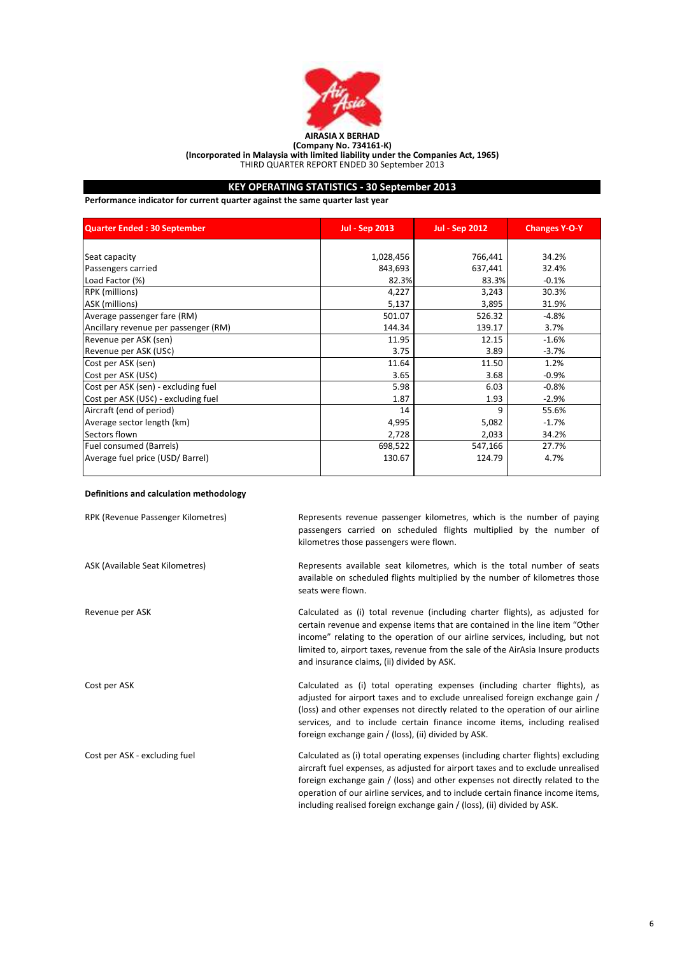

# KEY OPERATING STATISTICS - 30 September 2013

Performance indicator for current quarter against the same quarter last year

| <b>Quarter Ended: 30 September</b>   | <b>Jul - Sep 2013</b> | <b>Jul - Sep 2012</b> | <b>Changes Y-O-Y</b> |
|--------------------------------------|-----------------------|-----------------------|----------------------|
|                                      |                       |                       |                      |
| Seat capacity                        | 1,028,456             | 766,441               | 34.2%                |
| Passengers carried                   | 843,693               | 637,441               | 32.4%                |
| Load Factor (%)                      | 82.3%                 | 83.3%                 | $-0.1%$              |
| <b>RPK</b> (millions)                | 4,227                 | 3,243                 | 30.3%                |
| ASK (millions)                       | 5,137                 | 3,895                 | 31.9%                |
| Average passenger fare (RM)          | 501.07                | 526.32                | $-4.8%$              |
| Ancillary revenue per passenger (RM) | 144.34                | 139.17                | 3.7%                 |
| Revenue per ASK (sen)                | 11.95                 | 12.15                 | $-1.6%$              |
| Revenue per ASK (US¢)                | 3.75                  | 3.89                  | $-3.7%$              |
| Cost per ASK (sen)                   | 11.64                 | 11.50                 | 1.2%                 |
| Cost per ASK (US¢)                   | 3.65                  | 3.68                  | $-0.9%$              |
| Cost per ASK (sen) - excluding fuel  | 5.98                  | 6.03                  | $-0.8%$              |
| Cost per ASK (USC) - excluding fuel  | 1.87                  | 1.93                  | $-2.9%$              |
| Aircraft (end of period)             | 14                    | q                     | 55.6%                |
| Average sector length (km)           | 4,995                 | 5,082                 | $-1.7%$              |
| Sectors flown                        | 2,728                 | 2,033                 | 34.2%                |
| Fuel consumed (Barrels)              | 698,522               | 547,166               | 27.7%                |
| Average fuel price (USD/ Barrel)     | 130.67                | 124.79                | 4.7%                 |

# Definitions and calculation methodology

| RPK (Revenue Passenger Kilometres) | Represents revenue passenger kilometres, which is the number of paying<br>passengers carried on scheduled flights multiplied by the number of<br>kilometres those passengers were flown.                                                                                                                                                                                                                           |
|------------------------------------|--------------------------------------------------------------------------------------------------------------------------------------------------------------------------------------------------------------------------------------------------------------------------------------------------------------------------------------------------------------------------------------------------------------------|
| ASK (Available Seat Kilometres)    | Represents available seat kilometres, which is the total number of seats<br>available on scheduled flights multiplied by the number of kilometres those<br>seats were flown.                                                                                                                                                                                                                                       |
| Revenue per ASK                    | Calculated as (i) total revenue (including charter flights), as adjusted for<br>certain revenue and expense items that are contained in the line item "Other<br>income" relating to the operation of our airline services, including, but not<br>limited to, airport taxes, revenue from the sale of the AirAsia Insure products<br>and insurance claims, (ii) divided by ASK.                                     |
| Cost per ASK                       | Calculated as (i) total operating expenses (including charter flights), as<br>adjusted for airport taxes and to exclude unrealised foreign exchange gain /<br>(loss) and other expenses not directly related to the operation of our airline<br>services, and to include certain finance income items, including realised<br>foreign exchange gain / (loss), (ii) divided by ASK.                                  |
| Cost per ASK - excluding fuel      | Calculated as (i) total operating expenses (including charter flights) excluding<br>aircraft fuel expenses, as adjusted for airport taxes and to exclude unrealised<br>foreign exchange gain / (loss) and other expenses not directly related to the<br>operation of our airline services, and to include certain finance income items,<br>including realised foreign exchange gain / (loss), (ii) divided by ASK. |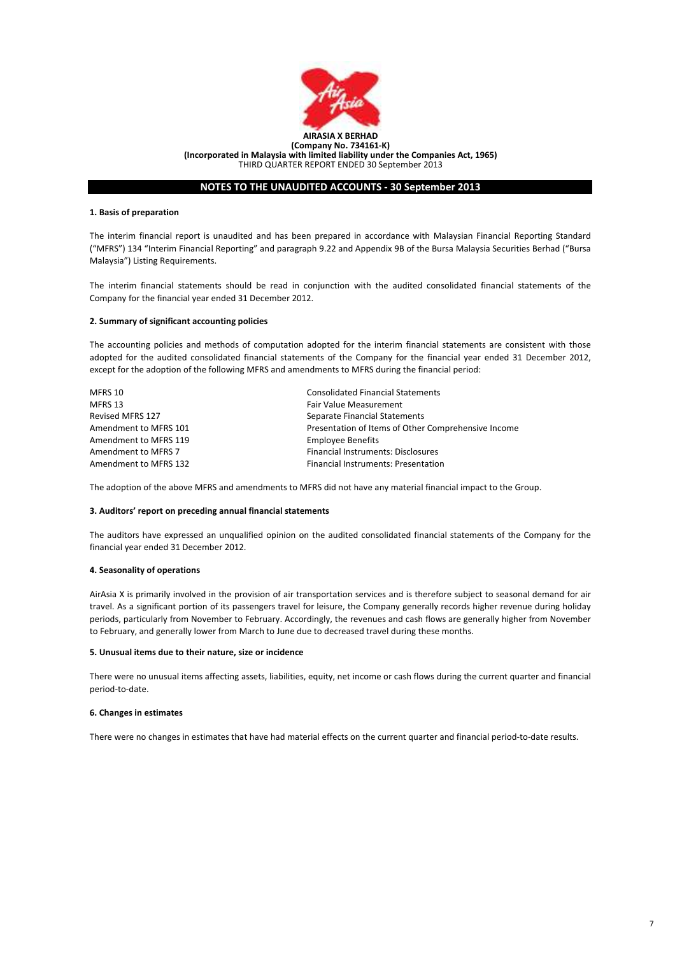

# NOTES TO THE UNAUDITED ACCOUNTS - 30 September 2013

### 1. Basis of preparation

The interim financial report is unaudited and has been prepared in accordance with Malaysian Financial Reporting Standard ("MFRS") 134 "Interim Financial Reporting" and paragraph 9.22 and Appendix 9B of the Bursa Malaysia Securities Berhad ("Bursa Malaysia") Listing Requirements.

The interim financial statements should be read in conjunction with the audited consolidated financial statements of the Company for the financial year ended 31 December 2012.

### 2. Summary of significant accounting policies

The accounting policies and methods of computation adopted for the interim financial statements are consistent with those adopted for the audited consolidated financial statements of the Company for the financial year ended 31 December 2012, except for the adoption of the following MFRS and amendments to MFRS during the financial period:

| MFRS 10               | <b>Consolidated Financial Statements</b>            |
|-----------------------|-----------------------------------------------------|
| MFRS 13               | <b>Fair Value Measurement</b>                       |
| Revised MFRS 127      | Separate Financial Statements                       |
| Amendment to MFRS 101 | Presentation of Items of Other Comprehensive Income |
| Amendment to MFRS 119 | <b>Employee Benefits</b>                            |
| Amendment to MFRS 7   | <b>Financial Instruments: Disclosures</b>           |
| Amendment to MFRS 132 | <b>Financial Instruments: Presentation</b>          |
|                       |                                                     |

The adoption of the above MFRS and amendments to MFRS did not have any material financial impact to the Group.

### 3. Auditors' report on preceding annual financial statements

The auditors have expressed an unqualified opinion on the audited consolidated financial statements of the Company for the financial year ended 31 December 2012.

### 4. Seasonality of operations

AirAsia X is primarily involved in the provision of air transportation services and is therefore subject to seasonal demand for air travel. As a significant portion of its passengers travel for leisure, the Company generally records higher revenue during holiday periods, particularly from November to February. Accordingly, the revenues and cash flows are generally higher from November to February, and generally lower from March to June due to decreased travel during these months.

#### 5. Unusual items due to their nature, size or incidence

There were no unusual items affecting assets, liabilities, equity, net income or cash flows during the current quarter and financial period-to-date.

# 6. Changes in estimates

There were no changes in estimates that have had material effects on the current quarter and financial period-to-date results.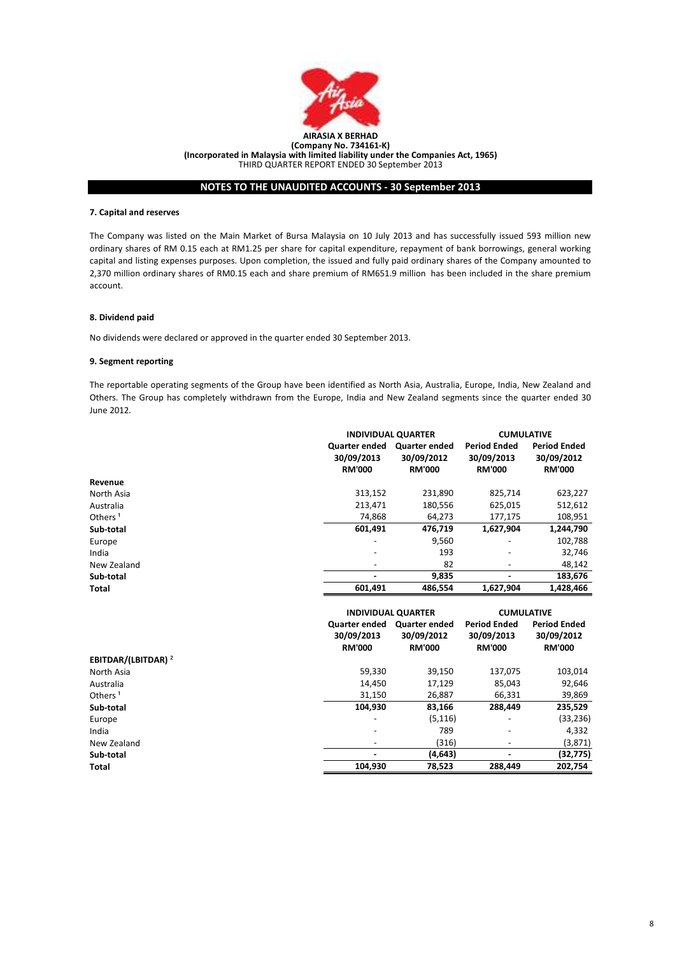

# NOTES TO THE UNAUDITED ACCOUNTS - 30 September 2013

# 7. Capital and reserves

The Company was listed on the Main Market of Bursa Malaysia on 10 July 2013 and has successfully issued 593 million new ordinary shares of RM 0.15 each at RM1.25 per share for capital expenditure, repayment of bank borrowings, general working capital and listing expenses purposes. Upon completion, the issued and fully paid ordinary shares of the Company amounted to 2,370 million ordinary shares of RM0.15 each and share premium of RM651.9 million has been included in the share premium account.

### 8. Dividend paid

No dividends were declared or approved in the quarter ended 30 September 2013.

# 9. Segment reporting

The reportable operating segments of the Group have been identified as North Asia, Australia, Europe, India, New Zealand and Others. The Group has completely withdrawn from the Europe, India and New Zealand segments since the quarter ended 30 June 2012.

|                     | <b>INDIVIDUAL QUARTER</b>                    |                                                     | <b>CUMULATIVE</b>                                  |                                                    |
|---------------------|----------------------------------------------|-----------------------------------------------------|----------------------------------------------------|----------------------------------------------------|
|                     | Quarter ended<br>30/09/2013<br><b>RM'000</b> | <b>Quarter ended</b><br>30/09/2012<br><b>RM'000</b> | <b>Period Ended</b><br>30/09/2013<br><b>RM'000</b> | <b>Period Ended</b><br>30/09/2012<br><b>RM'000</b> |
| Revenue             |                                              |                                                     |                                                    |                                                    |
| North Asia          | 313,152                                      | 231,890                                             | 825,714                                            | 623,227                                            |
| Australia           | 213.471                                      | 180,556                                             | 625,015                                            | 512,612                                            |
| Others <sup>1</sup> | 74,868                                       | 64,273                                              | 177,175                                            | 108,951                                            |
| Sub-total           | 601,491                                      | 476.719                                             | 1,627,904                                          | 1,244,790                                          |
| Europe              | $\overline{\phantom{0}}$                     | 9,560                                               |                                                    | 102,788                                            |
| India               | $\overline{\phantom{0}}$                     | 193                                                 | $\overline{\phantom{a}}$                           | 32,746                                             |
| New Zealand         | $\overline{\phantom{0}}$                     | 82                                                  |                                                    | 48,142                                             |
| Sub-total           |                                              | 9,835                                               |                                                    | 183,676                                            |
| Total               | 601,491                                      | 486.554                                             | 1,627,904                                          | 1,428,466                                          |

|                                |                                              | <b>INDIVIDUAL QUARTER</b>                           |                                                    | <b>CUMULATIVE</b>                                  |
|--------------------------------|----------------------------------------------|-----------------------------------------------------|----------------------------------------------------|----------------------------------------------------|
|                                | Quarter ended<br>30/09/2013<br><b>RM'000</b> | <b>Quarter ended</b><br>30/09/2012<br><b>RM'000</b> | <b>Period Ended</b><br>30/09/2013<br><b>RM'000</b> | <b>Period Ended</b><br>30/09/2012<br><b>RM'000</b> |
| EBITDAR/(LBITDAR) <sup>2</sup> |                                              |                                                     |                                                    |                                                    |
| North Asia                     | 59,330                                       | 39,150                                              | 137,075                                            | 103,014                                            |
| Australia                      | 14,450                                       | 17,129                                              | 85,043                                             | 92,646                                             |
| Others <sup>1</sup>            | 31,150                                       | 26,887                                              | 66,331                                             | 39,869                                             |
| Sub-total                      | 104,930                                      | 83,166                                              | 288.449                                            | 235,529                                            |
| Europe                         | -                                            | (5, 116)                                            |                                                    | (33, 236)                                          |
| India                          | -                                            | 789                                                 | $\overline{a}$                                     | 4,332                                              |
| New Zealand                    | ۰                                            | (316)                                               | -                                                  | (3,871)                                            |
| Sub-total                      | $\blacksquare$                               | (4,643)                                             | ٠                                                  | (32, 775)                                          |
| Total                          | 104,930                                      | 78,523                                              | 288,449                                            | 202,754                                            |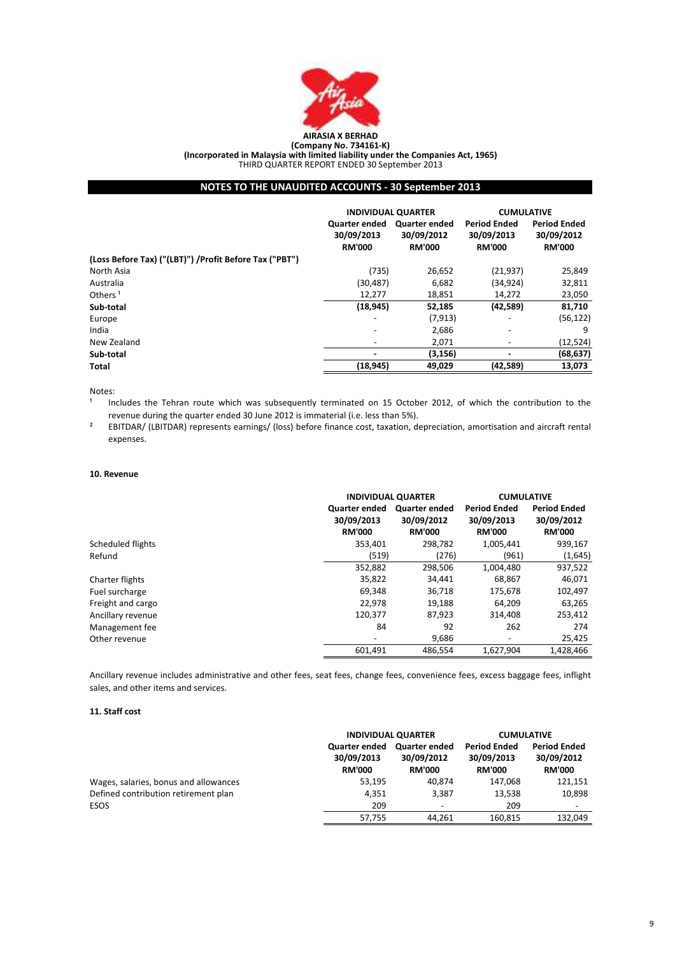

# NOTES TO THE UNAUDITED ACCOUNTS - 30 September 2013

|                                                        | <b>INDIVIDUAL QUARTER</b>                    |                                                     | <b>CUMULATIVE</b>                                  |                                                    |
|--------------------------------------------------------|----------------------------------------------|-----------------------------------------------------|----------------------------------------------------|----------------------------------------------------|
|                                                        | Quarter ended<br>30/09/2013<br><b>RM'000</b> | <b>Quarter ended</b><br>30/09/2012<br><b>RM'000</b> | <b>Period Ended</b><br>30/09/2013<br><b>RM'000</b> | <b>Period Ended</b><br>30/09/2012<br><b>RM'000</b> |
| (Loss Before Tax) ("(LBT)") /Profit Before Tax ("PBT") |                                              |                                                     |                                                    |                                                    |
| North Asia                                             | (735)                                        | 26,652                                              | (21, 937)                                          | 25,849                                             |
| Australia                                              | (30, 487)                                    | 6,682                                               | (34, 924)                                          | 32,811                                             |
| Others <sup>1</sup>                                    | 12,277                                       | 18,851                                              | 14,272                                             | 23,050                                             |
| Sub-total                                              | (18, 945)                                    | 52,185                                              | (42,589)                                           | 81,710                                             |
| Europe                                                 | $\overline{\phantom{0}}$                     | (7, 913)                                            | $\overline{\phantom{0}}$                           | (56, 122)                                          |
| India                                                  | $\overline{\phantom{a}}$                     | 2,686                                               | $\overline{\phantom{0}}$                           | 9                                                  |
| New Zealand                                            | $\overline{\phantom{a}}$                     | 2,071                                               | $\overline{\phantom{a}}$                           | (12, 524)                                          |
| Sub-total                                              | $\overline{\phantom{0}}$                     | (3, 156)                                            | ٠                                                  | (68, 637)                                          |
| Total                                                  | (18, 945)                                    | 49,029                                              | (42,589)                                           | 13,073                                             |

### Notes:

1 Includes the Tehran route which was subsequently terminated on 15 October 2012, of which the contribution to the revenue during the quarter ended 30 June 2012 is immaterial (i.e. less than 5%).

 $\overline{2}$ EBITDAR/ (LBITDAR) represents earnings/ (loss) before finance cost, taxation, depreciation, amortisation and aircraft rental expenses.

### 10. Revenue

|                   |                                                     | <b>INDIVIDUAL QUARTER</b>                           |                                                    | <b>CUMULATIVE</b>                                  |
|-------------------|-----------------------------------------------------|-----------------------------------------------------|----------------------------------------------------|----------------------------------------------------|
|                   | <b>Quarter ended</b><br>30/09/2013<br><b>RM'000</b> | <b>Quarter ended</b><br>30/09/2012<br><b>RM'000</b> | <b>Period Ended</b><br>30/09/2013<br><b>RM'000</b> | <b>Period Ended</b><br>30/09/2012<br><b>RM'000</b> |
| Scheduled flights | 353.401                                             | 298.782                                             | 1,005,441                                          | 939,167                                            |
| Refund            | (519)                                               | (276)                                               | (961)                                              | (1,645)                                            |
|                   | 352,882                                             | 298,506                                             | 1,004,480                                          | 937,522                                            |
| Charter flights   | 35.822                                              | 34.441                                              | 68.867                                             | 46,071                                             |
| Fuel surcharge    | 69,348                                              | 36,718                                              | 175,678                                            | 102,497                                            |
| Freight and cargo | 22,978                                              | 19,188                                              | 64,209                                             | 63,265                                             |
| Ancillary revenue | 120,377                                             | 87.923                                              | 314.408                                            | 253,412                                            |
| Management fee    | 84                                                  | 92                                                  | 262                                                | 274                                                |
| Other revenue     | -                                                   | 9,686                                               | $\overline{\phantom{a}}$                           | 25,425                                             |
|                   | 601.491                                             | 486.554                                             | 1.627.904                                          | 1,428,466                                          |

Ancillary revenue includes administrative and other fees, seat fees, change fees, convenience fees, excess baggage fees, inflight sales, and other items and services.

### 11. Staff cost

|                                       | <b>INDIVIDUAL QUARTER</b>                           |                                                     | <b>CUMULATIVE</b>                                  |                                                    |
|---------------------------------------|-----------------------------------------------------|-----------------------------------------------------|----------------------------------------------------|----------------------------------------------------|
|                                       | <b>Quarter ended</b><br>30/09/2013<br><b>RM'000</b> | <b>Quarter ended</b><br>30/09/2012<br><b>RM'000</b> | <b>Period Ended</b><br>30/09/2013<br><b>RM'000</b> | <b>Period Ended</b><br>30/09/2012<br><b>RM'000</b> |
| Wages, salaries, bonus and allowances | 53,195                                              | 40.874                                              | 147.068                                            | 121,151                                            |
| Defined contribution retirement plan  | 4.351                                               | 3.387                                               | 13,538                                             | 10,898                                             |
| ESOS                                  | 209                                                 | $\overline{\phantom{a}}$                            | 209                                                |                                                    |
|                                       | 57,755                                              | 44.261                                              | 160.815                                            | 132.049                                            |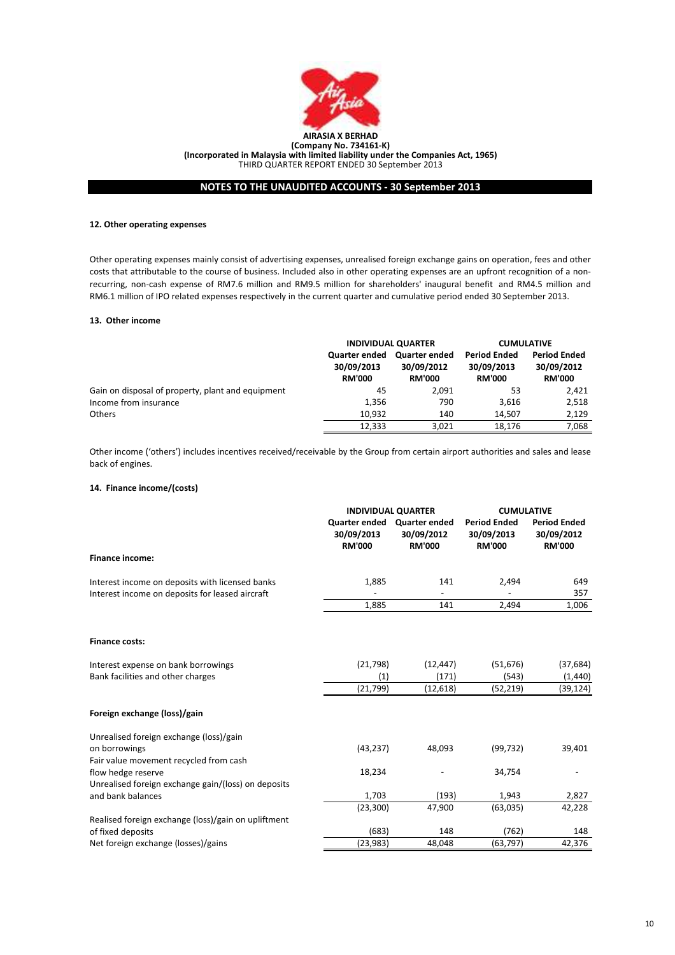

# NOTES TO THE UNAUDITED ACCOUNTS - 30 September 2013

### 12. Other operating expenses

Other operating expenses mainly consist of advertising expenses, unrealised foreign exchange gains on operation, fees and other costs that attributable to the course of business. Included also in other operating expenses are an upfront recognition of a nonrecurring, non-cash expense of RM7.6 million and RM9.5 million for shareholders' inaugural benefit and RM4.5 million and RM6.1 million of IPO related expenses respectively in the current quarter and cumulative period ended 30 September 2013.

### 13. Other income

|                                                   | <b>INDIVIDUAL QUARTER</b>                           |                                              | <b>CUMULATIVE</b>                                  |                                                    |
|---------------------------------------------------|-----------------------------------------------------|----------------------------------------------|----------------------------------------------------|----------------------------------------------------|
|                                                   | <b>Quarter ended</b><br>30/09/2013<br><b>RM'000</b> | Quarter ended<br>30/09/2012<br><b>RM'000</b> | <b>Period Ended</b><br>30/09/2013<br><b>RM'000</b> | <b>Period Ended</b><br>30/09/2012<br><b>RM'000</b> |
| Gain on disposal of property, plant and equipment | 45                                                  | 2.091                                        | 53                                                 | 2.421                                              |
| Income from insurance                             | 1,356                                               | 790                                          | 3.616                                              | 2,518                                              |
| <b>Others</b>                                     | 10.932                                              | 140                                          | 14.507                                             | 2,129                                              |
|                                                   | 12,333                                              | 3,021                                        | 18.176                                             | 7,068                                              |

Other income ('others') includes incentives received/receivable by the Group from certain airport authorities and sales and lease back of engines.

# 14. Finance income/(costs)

|                                                     |                                                            | <b>INDIVIDUAL QUARTER</b>   |                                                    | <b>CUMULATIVE</b>                                  |  |
|-----------------------------------------------------|------------------------------------------------------------|-----------------------------|----------------------------------------------------|----------------------------------------------------|--|
|                                                     | Quarter ended Quarter ended<br>30/09/2013<br><b>RM'000</b> | 30/09/2012<br><b>RM'000</b> | <b>Period Ended</b><br>30/09/2013<br><b>RM'000</b> | <b>Period Ended</b><br>30/09/2012<br><b>RM'000</b> |  |
| <b>Finance income:</b>                              |                                                            |                             |                                                    |                                                    |  |
| Interest income on deposits with licensed banks     | 1,885                                                      | 141                         | 2,494                                              | 649                                                |  |
| Interest income on deposits for leased aircraft     |                                                            |                             |                                                    | 357                                                |  |
|                                                     | 1,885                                                      | 141                         | 2,494                                              | 1,006                                              |  |
| <b>Finance costs:</b>                               |                                                            |                             |                                                    |                                                    |  |
| Interest expense on bank borrowings                 | (21, 798)                                                  | (12, 447)                   | (51, 676)                                          | (37, 684)                                          |  |
| Bank facilities and other charges                   | (1)                                                        | (171)                       | (543)                                              | (1,440)                                            |  |
|                                                     | (21, 799)                                                  | (12, 618)                   | (52, 219)                                          | (39,124)                                           |  |
| Foreign exchange (loss)/gain                        |                                                            |                             |                                                    |                                                    |  |
| Unrealised foreign exchange (loss)/gain             |                                                            |                             |                                                    |                                                    |  |
| on borrowings                                       | (43, 237)                                                  | 48,093                      | (99, 732)                                          | 39,401                                             |  |
| Fair value movement recycled from cash              |                                                            |                             |                                                    |                                                    |  |
| flow hedge reserve                                  | 18,234                                                     |                             | 34,754                                             |                                                    |  |
| Unrealised foreign exchange gain/(loss) on deposits |                                                            |                             |                                                    |                                                    |  |
| and bank balances                                   | 1,703                                                      | (193)                       | 1,943                                              | 2,827                                              |  |
|                                                     | (23, 300)                                                  | 47,900                      | (63,035)                                           | 42,228                                             |  |
| Realised foreign exchange (loss)/gain on upliftment |                                                            |                             |                                                    |                                                    |  |
| of fixed deposits                                   | (683)                                                      | 148                         | (762)                                              | 148                                                |  |
| Net foreign exchange (losses)/gains                 | (23, 983)                                                  | 48,048                      | (63, 797)                                          | 42,376                                             |  |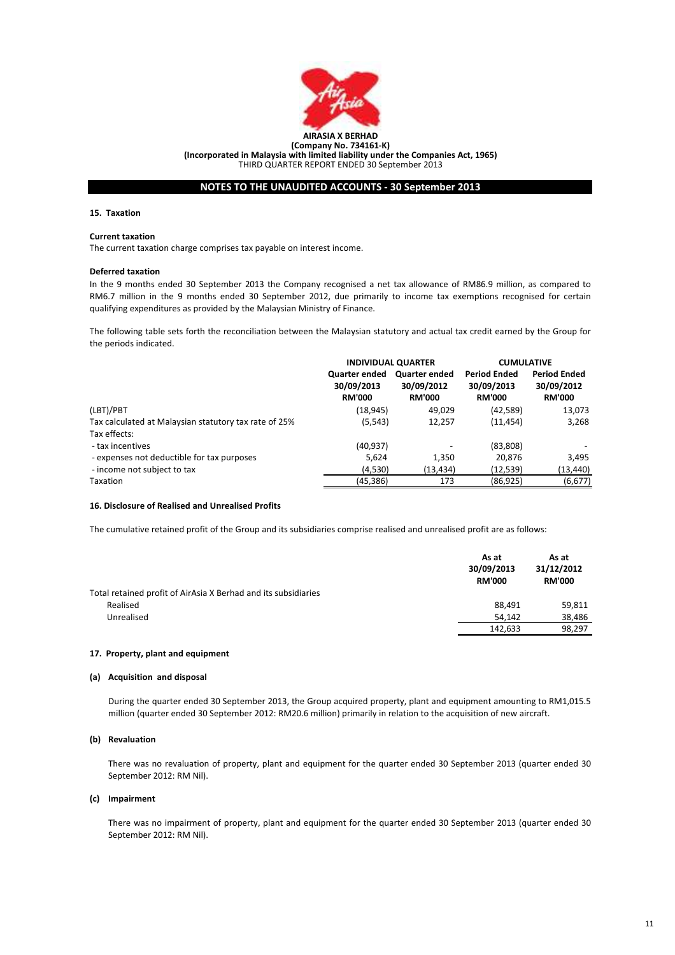

# NOTES TO THE UNAUDITED ACCOUNTS - 30 September 2013

### 15. Taxation

### Current taxation

The current taxation charge comprises tax payable on interest income.

### Deferred taxation

In the 9 months ended 30 September 2013 the Company recognised a net tax allowance of RM86.9 million, as compared to RM6.7 million in the 9 months ended 30 September 2012, due primarily to income tax exemptions recognised for certain qualifying expenditures as provided by the Malaysian Ministry of Finance.

The following table sets forth the reconciliation between the Malaysian statutory and actual tax credit earned by the Group for the periods indicated.

|                                                       | <b>INDIVIDUAL QUARTER</b>                           |                                                     | <b>CUMULATIVE</b>                                  |                                                    |
|-------------------------------------------------------|-----------------------------------------------------|-----------------------------------------------------|----------------------------------------------------|----------------------------------------------------|
|                                                       | <b>Quarter ended</b><br>30/09/2013<br><b>RM'000</b> | <b>Quarter ended</b><br>30/09/2012<br><b>RM'000</b> | <b>Period Ended</b><br>30/09/2013<br><b>RM'000</b> | <b>Period Ended</b><br>30/09/2012<br><b>RM'000</b> |
| (LBT)/PBT                                             | (18, 945)                                           | 49,029                                              | (42, 589)                                          | 13,073                                             |
| Tax calculated at Malaysian statutory tax rate of 25% | (5, 543)                                            | 12,257                                              | (11, 454)                                          | 3,268                                              |
| Tax effects:                                          |                                                     |                                                     |                                                    |                                                    |
| - tax incentives                                      | (40, 937)                                           |                                                     | (83,808)                                           |                                                    |
| - expenses not deductible for tax purposes            | 5,624                                               | 1,350                                               | 20,876                                             | 3,495                                              |
| - income not subject to tax                           | (4,530)                                             | (13,434)                                            | (12,539)                                           | (13,440)                                           |
| Taxation                                              | (45, 386)                                           | 173                                                 | (86, 925)                                          | (6, 677)                                           |

# 16. Disclosure of Realised and Unrealised Profits

The cumulative retained profit of the Group and its subsidiaries comprise realised and unrealised profit are as follows:

|                                                                | As at<br>30/09/2013<br><b>RM'000</b> | As at<br>31/12/2012<br><b>RM'000</b> |
|----------------------------------------------------------------|--------------------------------------|--------------------------------------|
| Total retained profit of AirAsia X Berhad and its subsidiaries |                                      |                                      |
| Realised                                                       | 88.491                               | 59,811                               |
| Unrealised                                                     | 54.142                               | 38,486                               |
|                                                                | 142.633                              | 98.297                               |

# 17. Property, plant and equipment

#### (a) Acquisition and disposal

During the quarter ended 30 September 2013, the Group acquired property, plant and equipment amounting to RM1,015.5 million (quarter ended 30 September 2012: RM20.6 million) primarily in relation to the acquisition of new aircraft.

# (b) Revaluation

There was no revaluation of property, plant and equipment for the quarter ended 30 September 2013 (quarter ended 30 September 2012: RM Nil).

# (c) Impairment

There was no impairment of property, plant and equipment for the quarter ended 30 September 2013 (quarter ended 30 September 2012: RM Nil).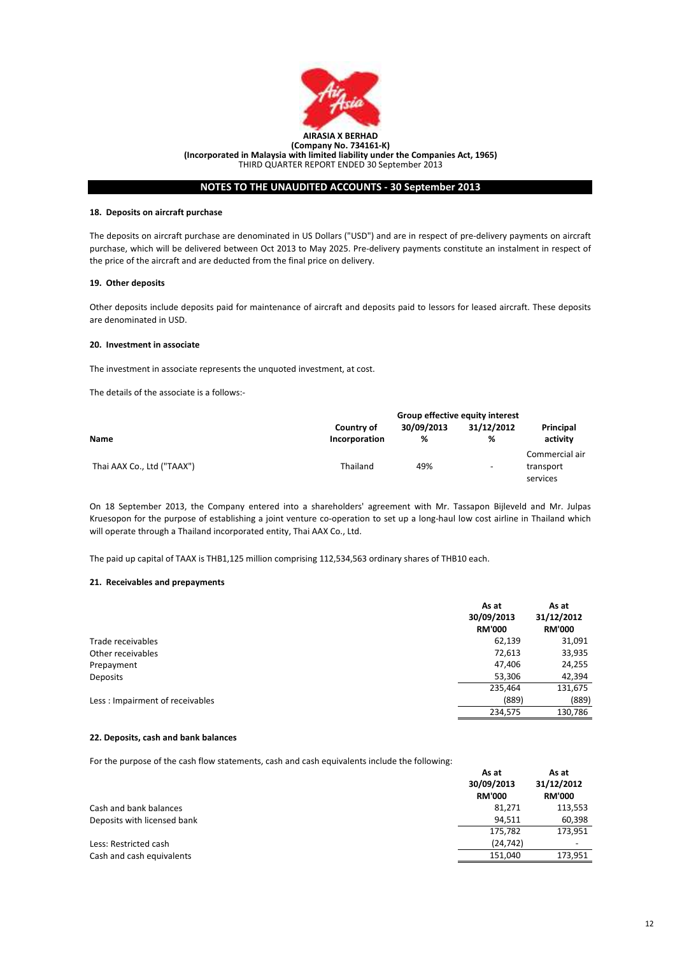

# NOTES TO THE UNAUDITED ACCOUNTS - 30 September 2013

### 18. Deposits on aircraft purchase

The deposits on aircraft purchase are denominated in US Dollars ("USD") and are in respect of pre-delivery payments on aircraft purchase, which will be delivered between Oct 2013 to May 2025. Pre-delivery payments constitute an instalment in respect of the price of the aircraft and are deducted from the final price on delivery.

# 19. Other deposits

Other deposits include deposits paid for maintenance of aircraft and deposits paid to lessors for leased aircraft. These deposits are denominated in USD.

### 20. Investment in associate

The investment in associate represents the unquoted investment, at cost.

The details of the associate is a follows:-

|                            | Group effective equity interest |                 |                          |                                         |
|----------------------------|---------------------------------|-----------------|--------------------------|-----------------------------------------|
| <b>Name</b>                | Country of<br>Incorporation     | 30/09/2013<br>% | 31/12/2012<br>%          | Principal<br>activity                   |
| Thai AAX Co., Ltd ("TAAX") | Thailand                        | 49%             | $\overline{\phantom{0}}$ | Commercial air<br>transport<br>services |

On 18 September 2013, the Company entered into a shareholders' agreement with Mr. Tassapon Bijleveld and Mr. Julpas Kruesopon for the purpose of establishing a joint venture co-operation to set up a long-haul low cost airline in Thailand which will operate through a Thailand incorporated entity, Thai AAX Co., Ltd.

The paid up capital of TAAX is THB1,125 million comprising 112,534,563 ordinary shares of THB10 each.

#### 21. Receivables and prepayments

|                                 | As at<br>30/09/2013<br><b>RM'000</b> | As at<br>31/12/2012<br><b>RM'000</b> |
|---------------------------------|--------------------------------------|--------------------------------------|
| Trade receivables               | 62,139                               | 31,091                               |
| Other receivables               | 72,613                               | 33,935                               |
| Prepayment                      | 47,406                               | 24,255                               |
| Deposits                        | 53,306                               | 42,394                               |
|                                 | 235,464                              | 131,675                              |
| Less: Impairment of receivables | (889)                                | (889)                                |
|                                 | 234,575                              | 130,786                              |

### 22. Deposits, cash and bank balances

For the purpose of the cash flow statements, cash and cash equivalents include the following:

|                             | As at<br>30/09/2013<br><b>RM'000</b> | As at<br>31/12/2012<br><b>RM'000</b> |
|-----------------------------|--------------------------------------|--------------------------------------|
| Cash and bank balances      | 81,271                               | 113,553                              |
| Deposits with licensed bank | 94.511                               | 60,398                               |
|                             | 175,782                              | 173,951                              |
| Less: Restricted cash       | (24, 742)                            | $\overline{\phantom{0}}$             |
| Cash and cash equivalents   | 151,040                              | 173,951                              |
|                             |                                      |                                      |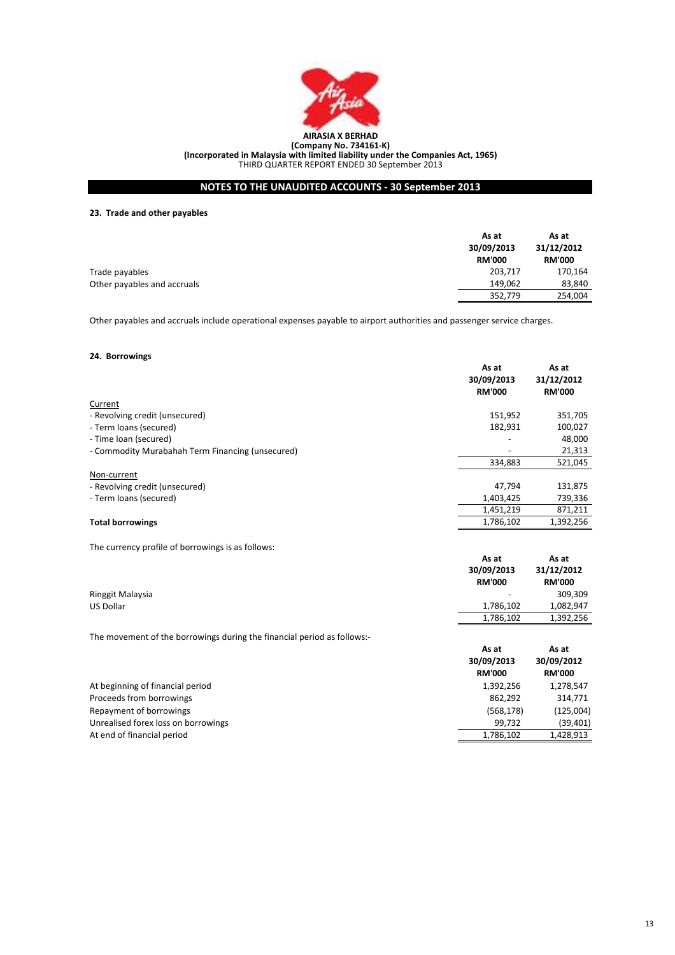

# NOTES TO THE UNAUDITED ACCOUNTS - 30 September 2013

# 23. Trade and other payables

|                             | As at<br>30/09/2013<br><b>RM'000</b> | As at<br>31/12/2012<br><b>RM'000</b> |
|-----------------------------|--------------------------------------|--------------------------------------|
| Trade payables              | 203,717                              | 170,164                              |
| Other payables and accruals | 149.062                              | 83,840                               |
|                             | 352,779                              | 254,004                              |

Other payables and accruals include operational expenses payable to airport authorities and passenger service charges.

# 24. Borrowings

|                                                                         | As at<br>30/09/2013<br><b>RM'000</b> | As at<br>31/12/2012<br><b>RM'000</b> |
|-------------------------------------------------------------------------|--------------------------------------|--------------------------------------|
| Current                                                                 |                                      |                                      |
| - Revolving credit (unsecured)                                          | 151,952                              | 351,705                              |
| - Term loans (secured)                                                  | 182,931                              | 100,027                              |
| - Time loan (secured)                                                   |                                      | 48,000                               |
| - Commodity Murabahah Term Financing (unsecured)                        |                                      | 21,313                               |
|                                                                         | 334,883                              | 521,045                              |
| Non-current                                                             |                                      |                                      |
| - Revolving credit (unsecured)                                          | 47,794                               | 131,875                              |
| - Term loans (secured)                                                  | 1,403,425                            | 739,336                              |
|                                                                         | 1,451,219                            | 871,211                              |
| <b>Total borrowings</b>                                                 | 1,786,102                            | 1,392,256                            |
| The currency profile of borrowings is as follows:                       |                                      |                                      |
|                                                                         | As at<br>30/09/2013<br><b>RM'000</b> | As at<br>31/12/2012<br><b>RM'000</b> |
| Ringgit Malaysia                                                        |                                      | 309,309                              |
| <b>US Dollar</b>                                                        | 1,786,102                            | 1,082,947                            |
|                                                                         | 1,786,102                            | 1,392,256                            |
| The movement of the borrowings during the financial period as follows:- |                                      |                                      |
|                                                                         | As at                                | As at                                |
|                                                                         | 30/09/2013                           | 30/09/2012                           |
|                                                                         | <b>RM'000</b>                        | <b>RM'000</b>                        |
| At beginning of financial period                                        | 1,392,256                            | 1,278,547                            |
| Proceeds from borrowings                                                | 862,292                              | 314,771                              |
| Repayment of borrowings                                                 | (568, 178)                           | (125,004)                            |
| Unrealised forex loss on borrowings                                     | 99,732<br>1,786,102                  | (39, 401)                            |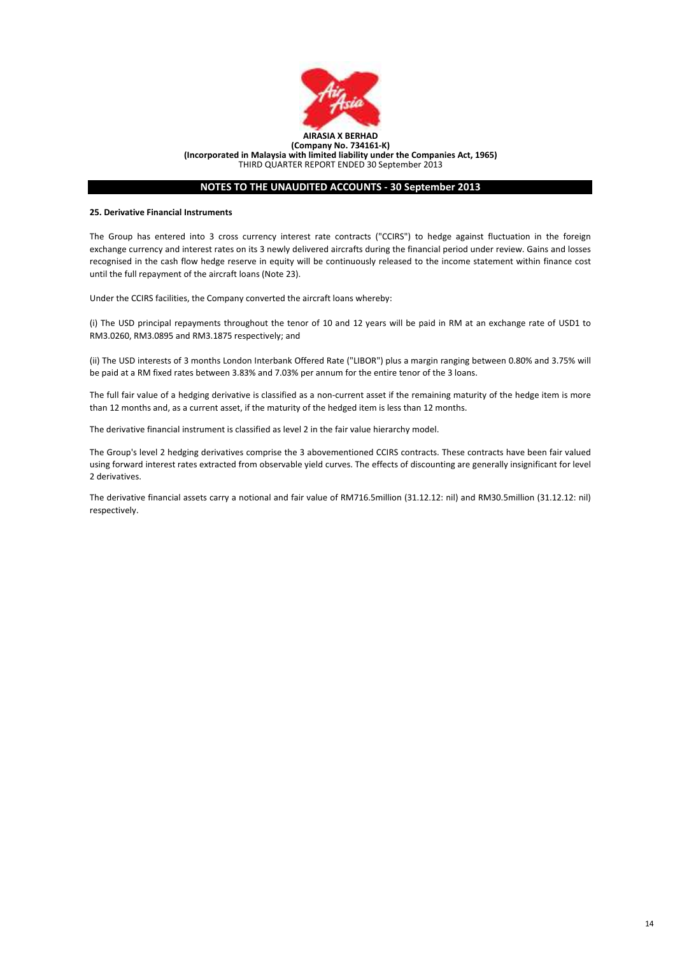

# NOTES TO THE UNAUDITED ACCOUNTS - 30 September 2013

### 25. Derivative Financial Instruments

The Group has entered into 3 cross currency interest rate contracts ("CCIRS") to hedge against fluctuation in the foreign exchange currency and interest rates on its 3 newly delivered aircrafts during the financial period under review. Gains and losses recognised in the cash flow hedge reserve in equity will be continuously released to the income statement within finance cost until the full repayment of the aircraft loans (Note 23).

Under the CCIRS facilities, the Company converted the aircraft loans whereby:

(i) The USD principal repayments throughout the tenor of 10 and 12 years will be paid in RM at an exchange rate of USD1 to RM3.0260, RM3.0895 and RM3.1875 respectively; and

(ii) The USD interests of 3 months London Interbank Offered Rate ("LIBOR") plus a margin ranging between 0.80% and 3.75% will be paid at a RM fixed rates between 3.83% and 7.03% per annum for the entire tenor of the 3 loans.

The full fair value of a hedging derivative is classified as a non-current asset if the remaining maturity of the hedge item is more than 12 months and, as a current asset, if the maturity of the hedged item is less than 12 months.

The derivative financial instrument is classified as level 2 in the fair value hierarchy model.

The Group's level 2 hedging derivatives comprise the 3 abovementioned CCIRS contracts. These contracts have been fair valued using forward interest rates extracted from observable yield curves. The effects of discounting are generally insignificant for level 2 derivatives.

The derivative financial assets carry a notional and fair value of RM716.5million (31.12.12: nil) and RM30.5million (31.12.12: nil) respectively.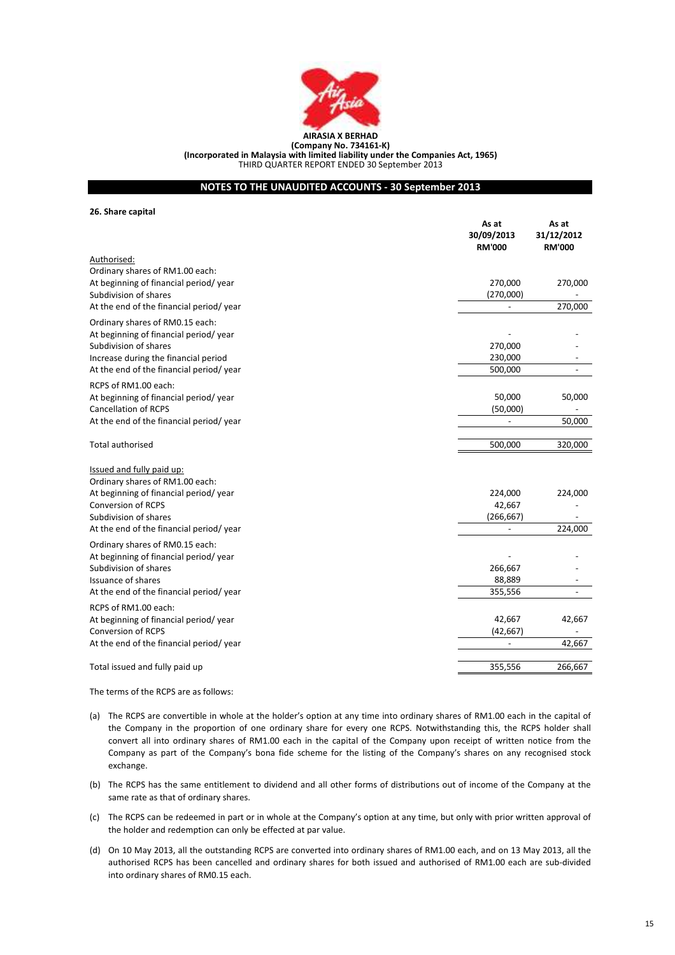

# NOTES TO THE UNAUDITED ACCOUNTS - 30 September 2013

26. Share capital

|                                         | As at<br>30/09/2013<br><b>RM'000</b> | As at<br>31/12/2012<br><b>RM'000</b> |
|-----------------------------------------|--------------------------------------|--------------------------------------|
| Authorised:                             |                                      |                                      |
| Ordinary shares of RM1.00 each:         |                                      |                                      |
| At beginning of financial period/year   | 270,000                              | 270,000                              |
| Subdivision of shares                   | (270,000)                            |                                      |
| At the end of the financial period/year | $\overline{\phantom{a}}$             | 270,000                              |
| Ordinary shares of RM0.15 each:         |                                      |                                      |
| At beginning of financial period/year   |                                      |                                      |
| Subdivision of shares                   | 270,000                              |                                      |
| Increase during the financial period    | 230,000                              |                                      |
| At the end of the financial period/year | 500,000                              |                                      |
| RCPS of RM1.00 each:                    |                                      |                                      |
| At beginning of financial period/year   | 50,000                               | 50,000                               |
| <b>Cancellation of RCPS</b>             | (50,000)                             |                                      |
| At the end of the financial period/year |                                      | 50,000                               |
| <b>Total authorised</b>                 | 500,000                              | 320,000                              |
| Issued and fully paid up:               |                                      |                                      |
| Ordinary shares of RM1.00 each:         |                                      |                                      |
| At beginning of financial period/year   | 224,000                              | 224,000                              |
| <b>Conversion of RCPS</b>               | 42,667                               |                                      |
| Subdivision of shares                   | (266, 667)                           |                                      |
| At the end of the financial period/year |                                      | 224,000                              |
| Ordinary shares of RM0.15 each:         |                                      |                                      |
| At beginning of financial period/year   |                                      |                                      |
| Subdivision of shares                   | 266,667                              |                                      |
| <b>Issuance of shares</b>               | 88,889                               |                                      |
| At the end of the financial period/year | 355,556                              |                                      |
| RCPS of RM1.00 each:                    |                                      |                                      |
| At beginning of financial period/year   | 42,667                               | 42,667                               |
| <b>Conversion of RCPS</b>               | (42, 667)                            |                                      |
| At the end of the financial period/year |                                      | 42,667                               |
| Total issued and fully paid up          | 355,556                              | 266,667                              |
|                                         |                                      |                                      |

The terms of the RCPS are as follows:

- (a) The RCPS are convertible in whole at the holder's option at any time into ordinary shares of RM1.00 each in the capital of the Company in the proportion of one ordinary share for every one RCPS. Notwithstanding this, the RCPS holder shall convert all into ordinary shares of RM1.00 each in the capital of the Company upon receipt of written notice from the Company as part of the Company's bona fide scheme for the listing of the Company's shares on any recognised stock exchange.
- (b) The RCPS has the same entitlement to dividend and all other forms of distributions out of income of the Company at the same rate as that of ordinary shares.
- (c) The RCPS can be redeemed in part or in whole at the Company's option at any time, but only with prior written approval of the holder and redemption can only be effected at par value.
- (d) On 10 May 2013, all the outstanding RCPS are converted into ordinary shares of RM1.00 each, and on 13 May 2013, all the authorised RCPS has been cancelled and ordinary shares for both issued and authorised of RM1.00 each are sub-divided into ordinary shares of RM0.15 each.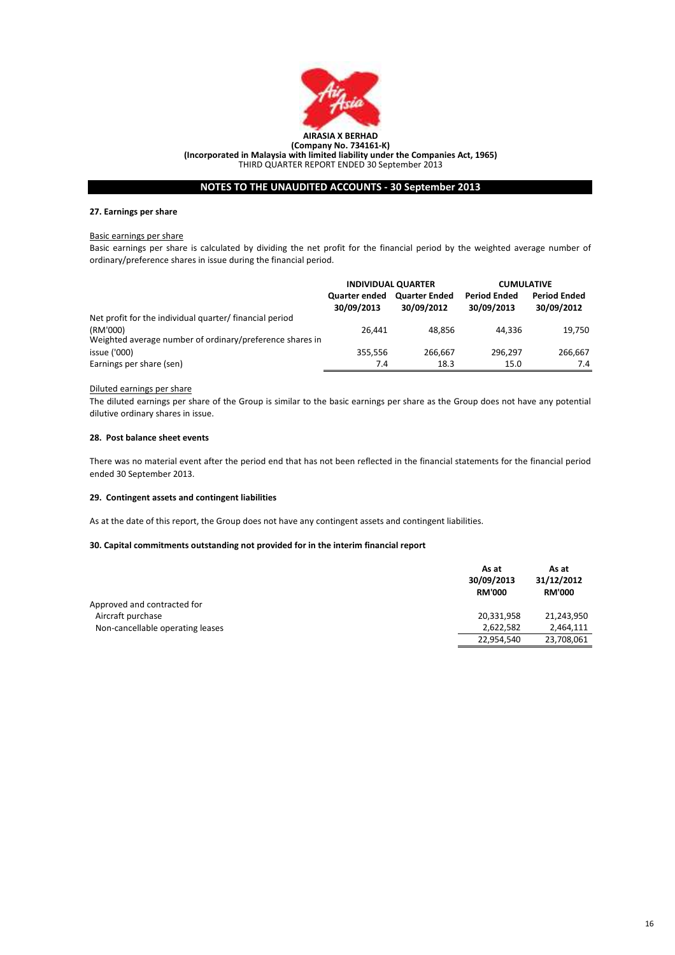

# NOTES TO THE UNAUDITED ACCOUNTS - 30 September 2013

# 27. Earnings per share

### Basic earnings per share

Basic earnings per share is calculated by dividing the net profit for the financial period by the weighted average number of ordinary/preference shares in issue during the financial period.

|                                                                      | <b>INDIVIDUAL QUARTER</b>          |                                    | <b>CUMULATIVE</b>                 |                                   |
|----------------------------------------------------------------------|------------------------------------|------------------------------------|-----------------------------------|-----------------------------------|
|                                                                      | <b>Quarter ended</b><br>30/09/2013 | <b>Quarter Ended</b><br>30/09/2012 | <b>Period Ended</b><br>30/09/2013 | <b>Period Ended</b><br>30/09/2012 |
| Net profit for the individual quarter/ financial period              |                                    |                                    |                                   |                                   |
| (RM'000)<br>Weighted average number of ordinary/preference shares in | 26.441                             | 48.856                             | 44.336                            | 19,750                            |
| issue ('000)                                                         | 355.556                            | 266.667                            | 296.297                           | 266.667                           |
| Earnings per share (sen)                                             | 7.4                                | 18.3                               | 15.0                              | 7.4                               |

# Diluted earnings per share

The diluted earnings per share of the Group is similar to the basic earnings per share as the Group does not have any potential dilutive ordinary shares in issue.

### 28. Post balance sheet events

There was no material event after the period end that has not been reflected in the financial statements for the financial period ended 30 September 2013.

# 29. Contingent assets and contingent liabilities

As at the date of this report, the Group does not have any contingent assets and contingent liabilities.

# 30. Capital commitments outstanding not provided for in the interim financial report

|                                  | As at<br>30/09/2013<br><b>RM'000</b> | As at<br>31/12/2012<br><b>RM'000</b> |
|----------------------------------|--------------------------------------|--------------------------------------|
| Approved and contracted for      |                                      |                                      |
| Aircraft purchase                | 20,331,958                           | 21.243.950                           |
| Non-cancellable operating leases | 2,622,582                            | 2,464,111                            |
|                                  | 22,954,540                           | 23,708,061                           |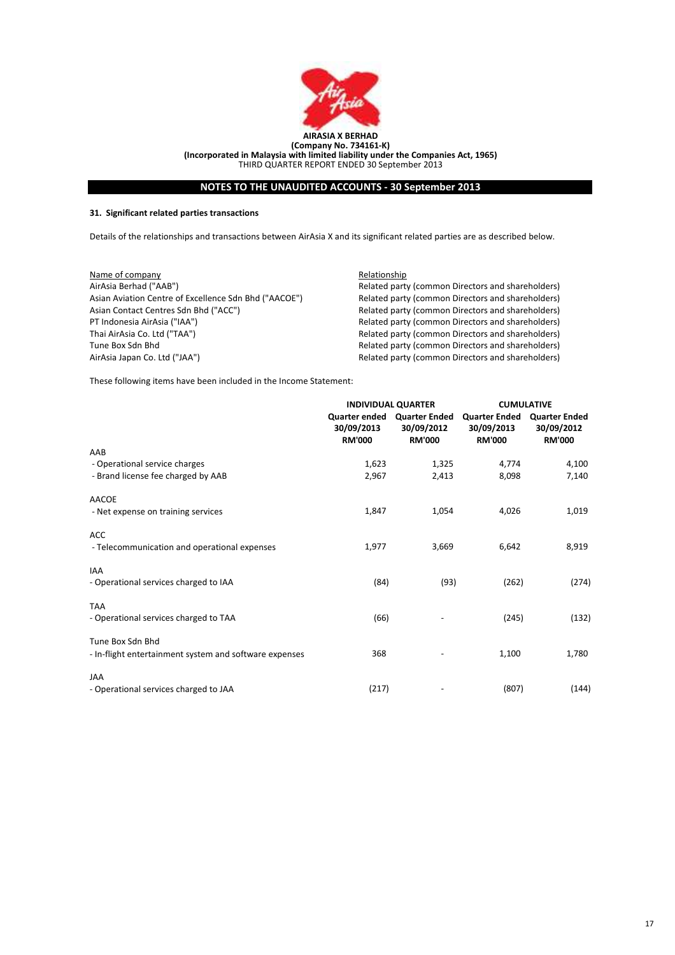

# NOTES TO THE UNAUDITED ACCOUNTS - 30 September 2013

# 31. Significant related parties transactions

Details of the relationships and transactions between AirAsia X and its significant related parties are as described below.

| Name of company                                       | Relationship                                      |
|-------------------------------------------------------|---------------------------------------------------|
| AirAsia Berhad ("AAB")                                | Related party (common Directors and shareholders) |
| Asian Aviation Centre of Excellence Sdn Bhd ("AACOE") | Related party (common Directors and shareholders) |
| Asian Contact Centres Sdn Bhd ("ACC")                 | Related party (common Directors and shareholders) |
| PT Indonesia AirAsia ("IAA")                          | Related party (common Directors and shareholders) |
| Thai AirAsia Co. Ltd ("TAA")                          | Related party (common Directors and shareholders) |
| Tune Box Sdn Bhd                                      | Related party (common Directors and shareholders) |
| AirAsia Japan Co. Ltd ("JAA")                         | Related party (common Directors and shareholders) |

These following items have been included in the Income Statement:

|                                                        |                                                     | <b>INDIVIDUAL QUARTER</b>                           | <b>CUMULATIVE</b>                                   |                                                     |
|--------------------------------------------------------|-----------------------------------------------------|-----------------------------------------------------|-----------------------------------------------------|-----------------------------------------------------|
|                                                        | <b>Quarter ended</b><br>30/09/2013<br><b>RM'000</b> | <b>Quarter Ended</b><br>30/09/2012<br><b>RM'000</b> | <b>Quarter Ended</b><br>30/09/2013<br><b>RM'000</b> | <b>Quarter Ended</b><br>30/09/2012<br><b>RM'000</b> |
| AAB                                                    |                                                     |                                                     |                                                     |                                                     |
| - Operational service charges                          | 1,623                                               | 1,325                                               | 4,774                                               | 4,100                                               |
| - Brand license fee charged by AAB                     | 2,967                                               | 2,413                                               | 8,098                                               | 7,140                                               |
| <b>AACOE</b>                                           |                                                     |                                                     |                                                     |                                                     |
| - Net expense on training services                     | 1,847                                               | 1,054                                               | 4,026                                               | 1,019                                               |
| <b>ACC</b>                                             |                                                     |                                                     |                                                     |                                                     |
| - Telecommunication and operational expenses           | 1,977                                               | 3,669                                               | 6,642                                               | 8,919                                               |
| <b>IAA</b>                                             |                                                     |                                                     |                                                     |                                                     |
| - Operational services charged to IAA                  | (84)                                                | (93)                                                | (262)                                               | (274)                                               |
| <b>TAA</b>                                             |                                                     |                                                     |                                                     |                                                     |
| - Operational services charged to TAA                  | (66)                                                |                                                     | (245)                                               | (132)                                               |
| Tune Box Sdn Bhd                                       |                                                     |                                                     |                                                     |                                                     |
| - In-flight entertainment system and software expenses | 368                                                 |                                                     | 1,100                                               | 1,780                                               |
| <b>JAA</b>                                             |                                                     |                                                     |                                                     |                                                     |
| - Operational services charged to JAA                  | (217)                                               |                                                     | (807)                                               | (144)                                               |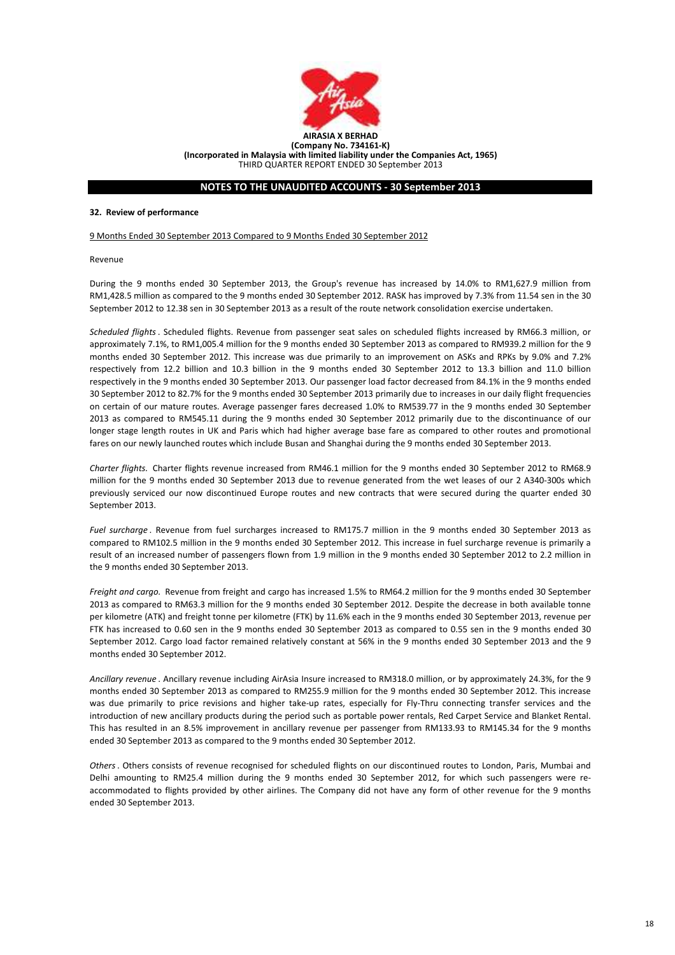

# NOTES TO THE UNAUDITED ACCOUNTS - 30 September 2013

### 32. Review of performance

9 Months Ended 30 September 2013 Compared to 9 Months Ended 30 September 2012

Revenue

During the 9 months ended 30 September 2013, the Group's revenue has increased by 14.0% to RM1,627.9 million from RM1,428.5 million as compared to the 9 months ended 30 September 2012. RASK has improved by 7.3% from 11.54 sen in the 30 September 2012 to 12.38 sen in 30 September 2013 as a result of the route network consolidation exercise undertaken.

Scheduled flights. Scheduled flights. Revenue from passenger seat sales on scheduled flights increased by RM66.3 million, or approximately 7.1%, to RM1,005.4 million for the 9 months ended 30 September 2013 as compared to RM939.2 million for the 9 months ended 30 September 2012. This increase was due primarily to an improvement on ASKs and RPKs by 9.0% and 7.2% respectively from 12.2 billion and 10.3 billion in the 9 months ended 30 September 2012 to 13.3 billion and 11.0 billion respectively in the 9 months ended 30 September 2013. Our passenger load factor decreased from 84.1% in the 9 months ended 30 September 2012 to 82.7% for the 9 months ended 30 September 2013 primarily due to increases in our daily flight frequencies on certain of our mature routes. Average passenger fares decreased 1.0% to RM539.77 in the 9 months ended 30 September 2013 as compared to RM545.11 during the 9 months ended 30 September 2012 primarily due to the discontinuance of our longer stage length routes in UK and Paris which had higher average base fare as compared to other routes and promotional fares on our newly launched routes which include Busan and Shanghai during the 9 months ended 30 September 2013.

Charter flights. Charter flights revenue increased from RM46.1 million for the 9 months ended 30 September 2012 to RM68.9 million for the 9 months ended 30 September 2013 due to revenue generated from the wet leases of our 2 A340-300s which previously serviced our now discontinued Europe routes and new contracts that were secured during the quarter ended 30 September 2013.

Fuel surcharge. Revenue from fuel surcharges increased to RM175.7 million in the 9 months ended 30 September 2013 as compared to RM102.5 million in the 9 months ended 30 September 2012. This increase in fuel surcharge revenue is primarily a result of an increased number of passengers flown from 1.9 million in the 9 months ended 30 September 2012 to 2.2 million in the 9 months ended 30 September 2013.

Freight and cargo. Revenue from freight and cargo has increased 1.5% to RM64.2 million for the 9 months ended 30 September 2013 as compared to RM63.3 million for the 9 months ended 30 September 2012. Despite the decrease in both available tonne per kilometre (ATK) and freight tonne per kilometre (FTK) by 11.6% each in the 9 months ended 30 September 2013, revenue per FTK has increased to 0.60 sen in the 9 months ended 30 September 2013 as compared to 0.55 sen in the 9 months ended 30 September 2012. Cargo load factor remained relatively constant at 56% in the 9 months ended 30 September 2013 and the 9 months ended 30 September 2012.

Ancillary revenue . Ancillary revenue including AirAsia Insure increased to RM318.0 million, or by approximately 24.3%, for the 9 months ended 30 September 2013 as compared to RM255.9 million for the 9 months ended 30 September 2012. This increase was due primarily to price revisions and higher take-up rates, especially for Fly-Thru connecting transfer services and the introduction of new ancillary products during the period such as portable power rentals, Red Carpet Service and Blanket Rental. This has resulted in an 8.5% improvement in ancillary revenue per passenger from RM133.93 to RM145.34 for the 9 months ended 30 September 2013 as compared to the 9 months ended 30 September 2012.

Others. Others consists of revenue recognised for scheduled flights on our discontinued routes to London, Paris, Mumbai and Delhi amounting to RM25.4 million during the 9 months ended 30 September 2012, for which such passengers were reaccommodated to flights provided by other airlines. The Company did not have any form of other revenue for the 9 months ended 30 September 2013.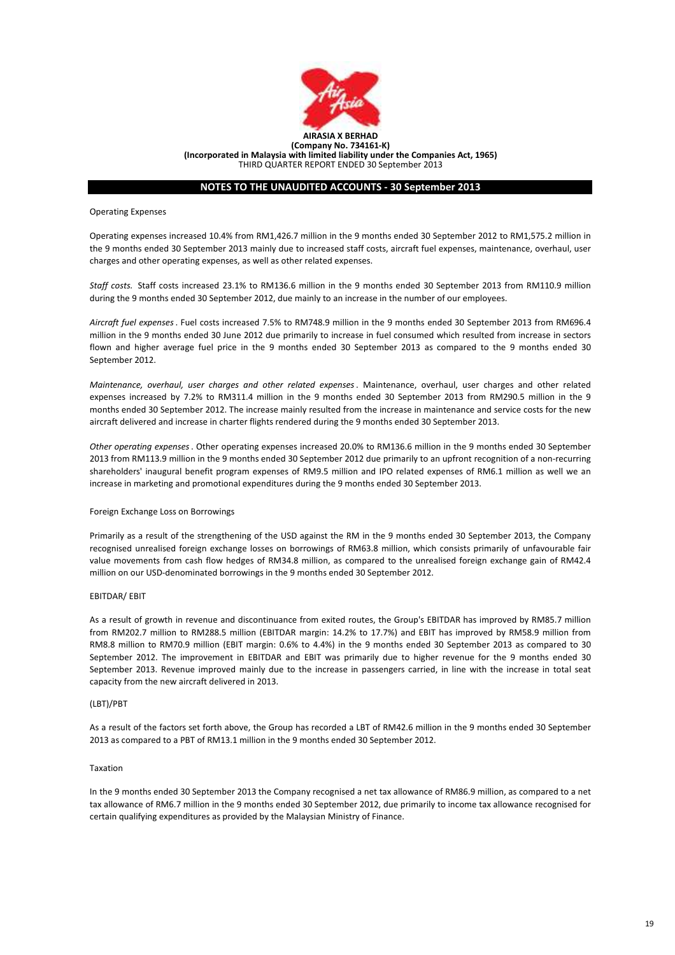

# NOTES TO THE UNAUDITED ACCOUNTS - 30 September 2013

Operating Expenses

Operating expenses increased 10.4% from RM1,426.7 million in the 9 months ended 30 September 2012 to RM1,575.2 million in the 9 months ended 30 September 2013 mainly due to increased staff costs, aircraft fuel expenses, maintenance, overhaul, user charges and other operating expenses, as well as other related expenses.

Staff costs. Staff costs increased 23.1% to RM136.6 million in the 9 months ended 30 September 2013 from RM110.9 million during the 9 months ended 30 September 2012, due mainly to an increase in the number of our employees.

Aircraft fuel expenses. Fuel costs increased 7.5% to RM748.9 million in the 9 months ended 30 September 2013 from RM696.4 million in the 9 months ended 30 June 2012 due primarily to increase in fuel consumed which resulted from increase in sectors flown and higher average fuel price in the 9 months ended 30 September 2013 as compared to the 9 months ended 30 September 2012.

Maintenance, overhaul, user charges and other related expenses. Maintenance, overhaul, user charges and other related expenses increased by 7.2% to RM311.4 million in the 9 months ended 30 September 2013 from RM290.5 million in the 9 months ended 30 September 2012. The increase mainly resulted from the increase in maintenance and service costs for the new aircraft delivered and increase in charter flights rendered during the 9 months ended 30 September 2013.

Other operating expenses. Other operating expenses increased 20.0% to RM136.6 million in the 9 months ended 30 September 2013 from RM113.9 million in the 9 months ended 30 September 2012 due primarily to an upfront recognition of a non-recurring shareholders' inaugural benefit program expenses of RM9.5 million and IPO related expenses of RM6.1 million as well we an increase in marketing and promotional expenditures during the 9 months ended 30 September 2013.

### Foreign Exchange Loss on Borrowings

Primarily as a result of the strengthening of the USD against the RM in the 9 months ended 30 September 2013, the Company recognised unrealised foreign exchange losses on borrowings of RM63.8 million, which consists primarily of unfavourable fair value movements from cash flow hedges of RM34.8 million, as compared to the unrealised foreign exchange gain of RM42.4 million on our USD-denominated borrowings in the 9 months ended 30 September 2012.

#### EBITDAR/ EBIT

As a result of growth in revenue and discontinuance from exited routes, the Group's EBITDAR has improved by RM85.7 million from RM202.7 million to RM288.5 million (EBITDAR margin: 14.2% to 17.7%) and EBIT has improved by RM58.9 million from RM8.8 million to RM70.9 million (EBIT margin: 0.6% to 4.4%) in the 9 months ended 30 September 2013 as compared to 30 September 2012. The improvement in EBITDAR and EBIT was primarily due to higher revenue for the 9 months ended 30 September 2013. Revenue improved mainly due to the increase in passengers carried, in line with the increase in total seat capacity from the new aircraft delivered in 2013.

#### (LBT)/PBT

As a result of the factors set forth above, the Group has recorded a LBT of RM42.6 million in the 9 months ended 30 September 2013 as compared to a PBT of RM13.1 million in the 9 months ended 30 September 2012.

# Taxation

In the 9 months ended 30 September 2013 the Company recognised a net tax allowance of RM86.9 million, as compared to a net tax allowance of RM6.7 million in the 9 months ended 30 September 2012, due primarily to income tax allowance recognised for certain qualifying expenditures as provided by the Malaysian Ministry of Finance.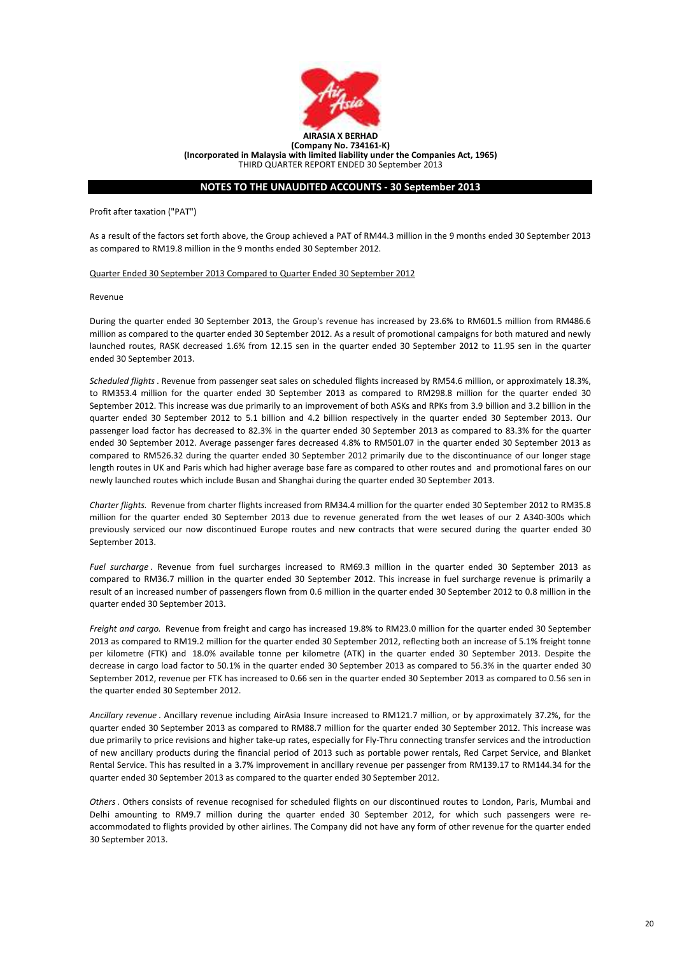

# NOTES TO THE UNAUDITED ACCOUNTS - 30 September 2013

Profit after taxation ("PAT")

As a result of the factors set forth above, the Group achieved a PAT of RM44.3 million in the 9 months ended 30 September 2013 as compared to RM19.8 million in the 9 months ended 30 September 2012.

Quarter Ended 30 September 2013 Compared to Quarter Ended 30 September 2012

Revenue

During the quarter ended 30 September 2013, the Group's revenue has increased by 23.6% to RM601.5 million from RM486.6 million as compared to the quarter ended 30 September 2012. As a result of promotional campaigns for both matured and newly launched routes, RASK decreased 1.6% from 12.15 sen in the quarter ended 30 September 2012 to 11.95 sen in the quarter ended 30 September 2013.

Scheduled flights. Revenue from passenger seat sales on scheduled flights increased by RM54.6 million, or approximately 18.3%, to RM353.4 million for the quarter ended 30 September 2013 as compared to RM298.8 million for the quarter ended 30 September 2012. This increase was due primarily to an improvement of both ASKs and RPKs from 3.9 billion and 3.2 billion in the quarter ended 30 September 2012 to 5.1 billion and 4.2 billion respectively in the quarter ended 30 September 2013. Our passenger load factor has decreased to 82.3% in the quarter ended 30 September 2013 as compared to 83.3% for the quarter ended 30 September 2012. Average passenger fares decreased 4.8% to RM501.07 in the quarter ended 30 September 2013 as compared to RM526.32 during the quarter ended 30 September 2012 primarily due to the discontinuance of our longer stage length routes in UK and Paris which had higher average base fare as compared to other routes and and promotional fares on our newly launched routes which include Busan and Shanghai during the quarter ended 30 September 2013.

Charter flights. Revenue from charter flights increased from RM34.4 million for the quarter ended 30 September 2012 to RM35.8 million for the quarter ended 30 September 2013 due to revenue generated from the wet leases of our 2 A340-300s which previously serviced our now discontinued Europe routes and new contracts that were secured during the quarter ended 30 September 2013.

Fuel surcharge. Revenue from fuel surcharges increased to RM69.3 million in the quarter ended 30 September 2013 as compared to RM36.7 million in the quarter ended 30 September 2012. This increase in fuel surcharge revenue is primarily a result of an increased number of passengers flown from 0.6 million in the quarter ended 30 September 2012 to 0.8 million in the quarter ended 30 September 2013.

Freight and cargo. Revenue from freight and cargo has increased 19.8% to RM23.0 million for the quarter ended 30 September 2013 as compared to RM19.2 million for the quarter ended 30 September 2012, reflecting both an increase of 5.1% freight tonne per kilometre (FTK) and 18.0% available tonne per kilometre (ATK) in the quarter ended 30 September 2013. Despite the decrease in cargo load factor to 50.1% in the quarter ended 30 September 2013 as compared to 56.3% in the quarter ended 30 September 2012, revenue per FTK has increased to 0.66 sen in the quarter ended 30 September 2013 as compared to 0.56 sen in the quarter ended 30 September 2012.

Ancillary revenue . Ancillary revenue including AirAsia Insure increased to RM121.7 million, or by approximately 37.2%, for the quarter ended 30 September 2013 as compared to RM88.7 million for the quarter ended 30 September 2012. This increase was due primarily to price revisions and higher take-up rates, especially for Fly-Thru connecting transfer services and the introduction of new ancillary products during the financial period of 2013 such as portable power rentals, Red Carpet Service, and Blanket Rental Service. This has resulted in a 3.7% improvement in ancillary revenue per passenger from RM139.17 to RM144.34 for the quarter ended 30 September 2013 as compared to the quarter ended 30 September 2012.

Others. Others consists of revenue recognised for scheduled flights on our discontinued routes to London, Paris, Mumbai and Delhi amounting to RM9.7 million during the quarter ended 30 September 2012, for which such passengers were reaccommodated to flights provided by other airlines. The Company did not have any form of other revenue for the quarter ended 30 September 2013.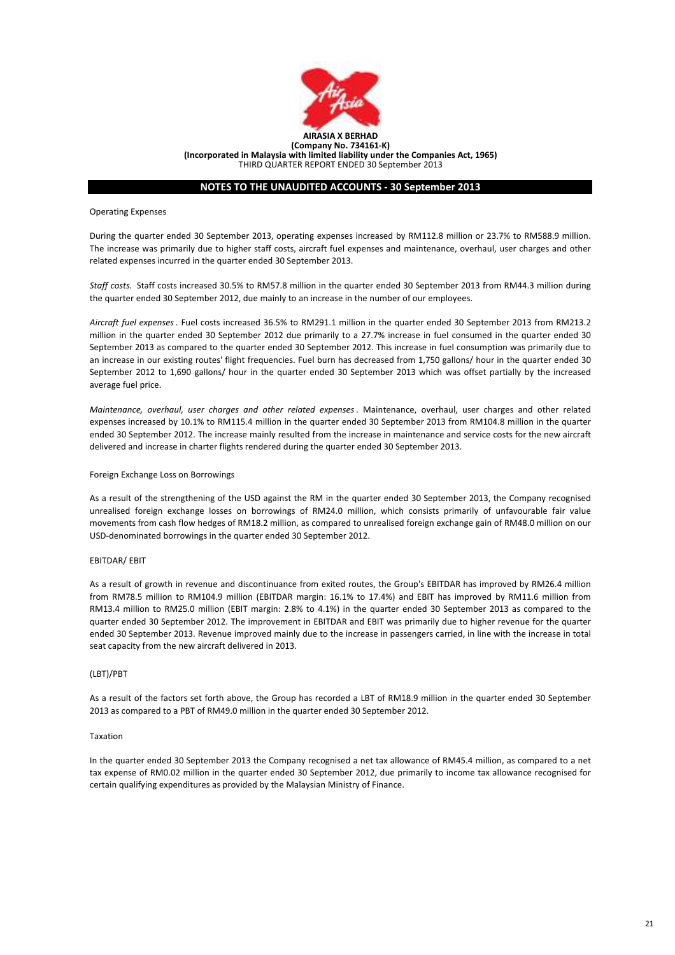

# NOTES TO THE UNAUDITED ACCOUNTS - 30 September 2013

Operating Expenses

During the quarter ended 30 September 2013, operating expenses increased by RM112.8 million or 23.7% to RM588.9 million. The increase was primarily due to higher staff costs, aircraft fuel expenses and maintenance, overhaul, user charges and other related expenses incurred in the quarter ended 30 September 2013.

Staff costs. Staff costs increased 30.5% to RM57.8 million in the quarter ended 30 September 2013 from RM44.3 million during the quarter ended 30 September 2012, due mainly to an increase in the number of our employees.

Aircraft fuel expenses. Fuel costs increased 36.5% to RM291.1 million in the quarter ended 30 September 2013 from RM213.2 million in the quarter ended 30 September 2012 due primarily to a 27.7% increase in fuel consumed in the quarter ended 30 September 2013 as compared to the quarter ended 30 September 2012. This increase in fuel consumption was primarily due to an increase in our existing routes' flight frequencies. Fuel burn has decreased from 1,750 gallons/ hour in the quarter ended 30 September 2012 to 1,690 gallons/ hour in the quarter ended 30 September 2013 which was offset partially by the increased average fuel price.

Maintenance, overhaul, user charges and other related expenses. Maintenance, overhaul, user charges and other related expenses increased by 10.1% to RM115.4 million in the quarter ended 30 September 2013 from RM104.8 million in the quarter ended 30 September 2012. The increase mainly resulted from the increase in maintenance and service costs for the new aircraft delivered and increase in charter flights rendered during the quarter ended 30 September 2013.

### Foreign Exchange Loss on Borrowings

As a result of the strengthening of the USD against the RM in the quarter ended 30 September 2013, the Company recognised unrealised foreign exchange losses on borrowings of RM24.0 million, which consists primarily of unfavourable fair value movements from cash flow hedges of RM18.2 million, as compared to unrealised foreign exchange gain of RM48.0 million on our USD-denominated borrowings in the quarter ended 30 September 2012.

#### EBITDAR/ EBIT

As a result of growth in revenue and discontinuance from exited routes, the Group's EBITDAR has improved by RM26.4 million from RM78.5 million to RM104.9 million (EBITDAR margin: 16.1% to 17.4%) and EBIT has improved by RM11.6 million from RM13.4 million to RM25.0 million (EBIT margin: 2.8% to 4.1%) in the quarter ended 30 September 2013 as compared to the quarter ended 30 September 2012. The improvement in EBITDAR and EBIT was primarily due to higher revenue for the quarter ended 30 September 2013. Revenue improved mainly due to the increase in passengers carried, in line with the increase in total seat capacity from the new aircraft delivered in 2013.

#### (LBT)/PBT

As a result of the factors set forth above, the Group has recorded a LBT of RM18.9 million in the quarter ended 30 September 2013 as compared to a PBT of RM49.0 million in the quarter ended 30 September 2012.

#### Taxation

In the quarter ended 30 September 2013 the Company recognised a net tax allowance of RM45.4 million, as compared to a net tax expense of RM0.02 million in the quarter ended 30 September 2012, due primarily to income tax allowance recognised for certain qualifying expenditures as provided by the Malaysian Ministry of Finance.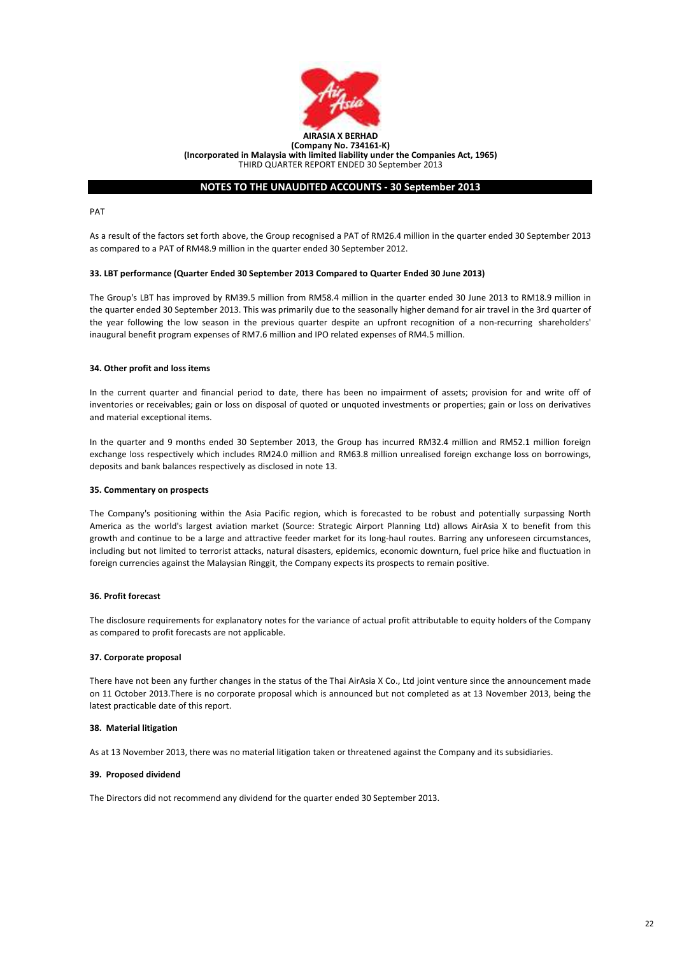

# NOTES TO THE UNAUDITED ACCOUNTS - 30 September 2013

PAT

As a result of the factors set forth above, the Group recognised a PAT of RM26.4 million in the quarter ended 30 September 2013 as compared to a PAT of RM48.9 million in the quarter ended 30 September 2012.

# 33. LBT performance (Quarter Ended 30 September 2013 Compared to Quarter Ended 30 June 2013)

The Group's LBT has improved by RM39.5 million from RM58.4 million in the quarter ended 30 June 2013 to RM18.9 million in the quarter ended 30 September 2013. This was primarily due to the seasonally higher demand for air travel in the 3rd quarter of the year following the low season in the previous quarter despite an upfront recognition of a non-recurring shareholders' inaugural benefit program expenses of RM7.6 million and IPO related expenses of RM4.5 million.

# 34. Other profit and loss items

In the current quarter and financial period to date, there has been no impairment of assets; provision for and write off of inventories or receivables; gain or loss on disposal of quoted or unquoted investments or properties; gain or loss on derivatives and material exceptional items.

In the quarter and 9 months ended 30 September 2013, the Group has incurred RM32.4 million and RM52.1 million foreign exchange loss respectively which includes RM24.0 million and RM63.8 million unrealised foreign exchange loss on borrowings, deposits and bank balances respectively as disclosed in note 13.

# 35. Commentary on prospects

The Company's positioning within the Asia Pacific region, which is forecasted to be robust and potentially surpassing North America as the world's largest aviation market (Source: Strategic Airport Planning Ltd) allows AirAsia X to benefit from this growth and continue to be a large and attractive feeder market for its long-haul routes. Barring any unforeseen circumstances, including but not limited to terrorist attacks, natural disasters, epidemics, economic downturn, fuel price hike and fluctuation in foreign currencies against the Malaysian Ringgit, the Company expects its prospects to remain positive.

# 36. Profit forecast

The disclosure requirements for explanatory notes for the variance of actual profit attributable to equity holders of the Company as compared to profit forecasts are not applicable.

# 37. Corporate proposal

There have not been any further changes in the status of the Thai AirAsia X Co., Ltd joint venture since the announcement made on 11 October 2013.There is no corporate proposal which is announced but not completed as at 13 November 2013, being the latest practicable date of this report.

### 38. Material litigation

As at 13 November 2013, there was no material litigation taken or threatened against the Company and its subsidiaries.

# 39. Proposed dividend

The Directors did not recommend any dividend for the quarter ended 30 September 2013.